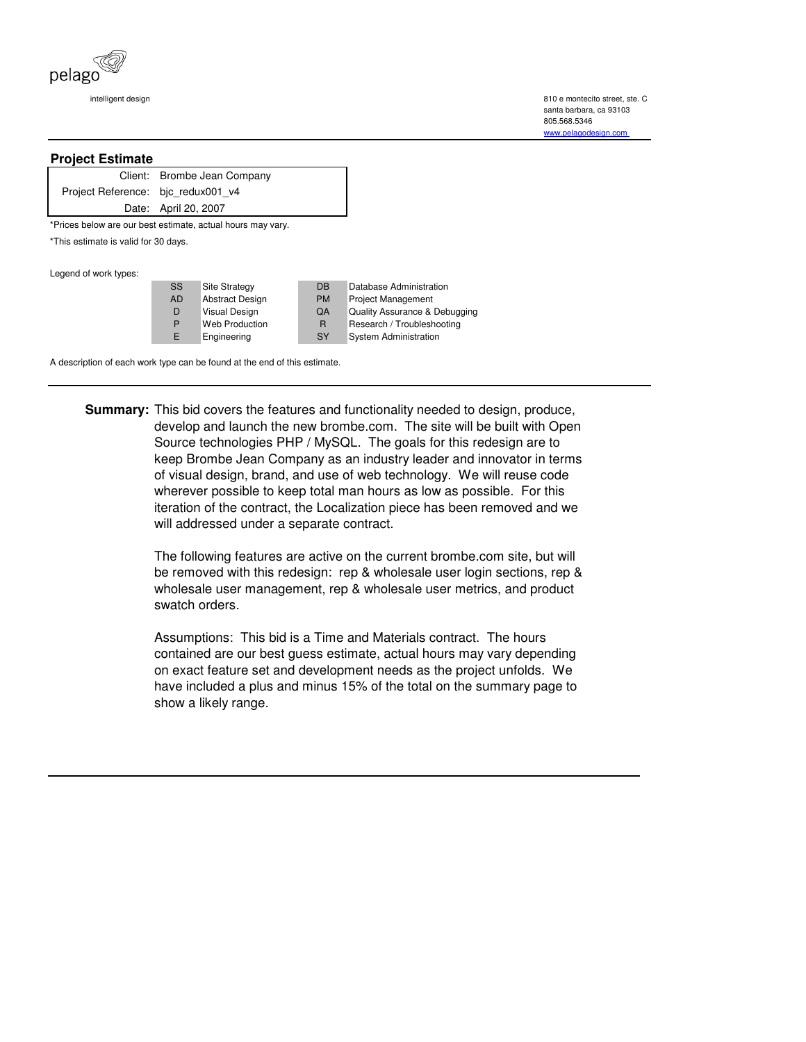

 intelligent design 810 e montecito street, ste. C santa barbara, ca 93103 805.568.5346 www.pelagodesign.com

## **Project Estimate**

|                                    | Client: Brombe Jean Company |
|------------------------------------|-----------------------------|
| Project Reference: bjc redux001 v4 |                             |
|                                    | Date: April 20, 2007        |

\*Prices below are our best estimate, actual hours may vary.

\*This estimate is valid for 30 days.

Legend of work types:

| ---- |           |                       |           |                               |
|------|-----------|-----------------------|-----------|-------------------------------|
|      | <b>SS</b> | <b>Site Strategy</b>  | <b>DB</b> | Database Administration       |
|      | <b>AD</b> | Abstract Design       | <b>PM</b> | <b>Project Management</b>     |
|      | D         | Visual Design         | QA        | Quality Assurance & Debugging |
|      | P         | <b>Web Production</b> | R         | Research / Troubleshooting    |
|      | E         | Engineering           | <b>SY</b> | System Administration         |

A description of each work type can be found at the end of this estimate.

**Summary:** This bid covers the features and functionality needed to design, produce, develop and launch the new brombe.com. The site will be built with Open Source technologies PHP / MySQL. The goals for this redesign are to keep Brombe Jean Company as an industry leader and innovator in terms of visual design, brand, and use of web technology. We will reuse code wherever possible to keep total man hours as low as possible. For this iteration of the contract, the Localization piece has been removed and we will addressed under a separate contract.

> The following features are active on the current brombe.com site, but will be removed with this redesign: rep & wholesale user login sections, rep & wholesale user management, rep & wholesale user metrics, and product swatch orders.

Assumptions: This bid is a Time and Materials contract. The hours contained are our best guess estimate, actual hours may vary depending on exact feature set and development needs as the project unfolds. We have included a plus and minus 15% of the total on the summary page to show a likely range.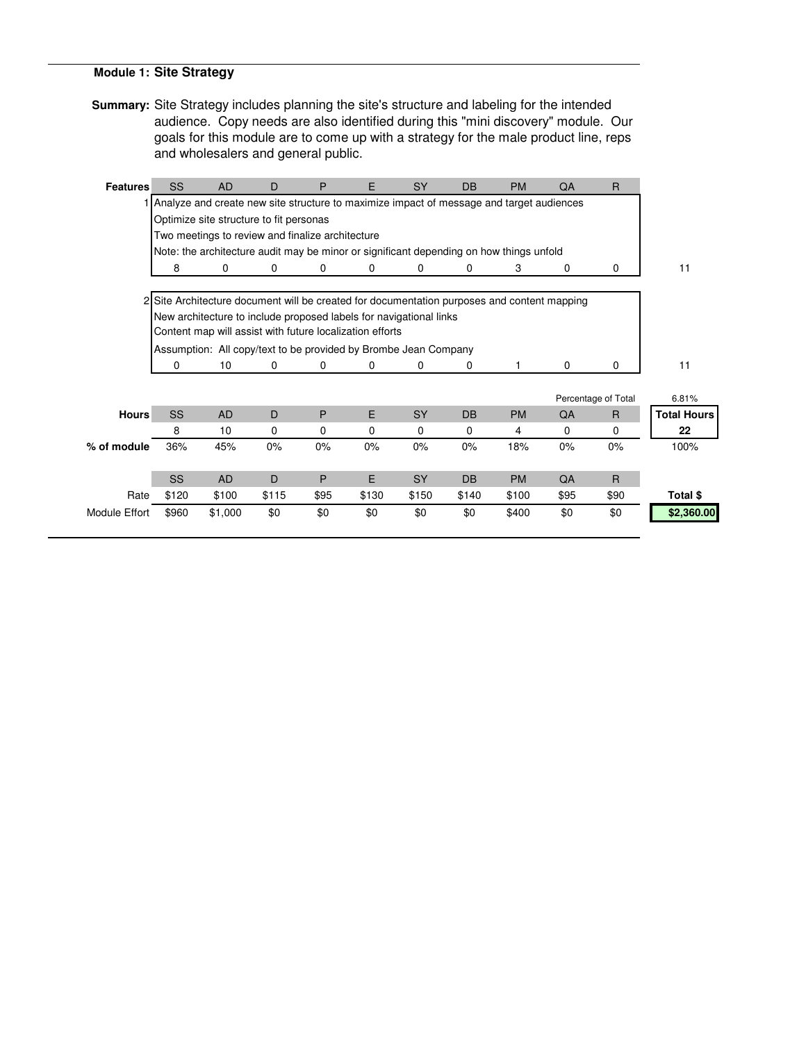## **Module 1: Site Strategy**

**Summary:** Site Strategy includes planning the site's structure and labeling for the intended audience. Copy needs are also identified during this "mini discovery" module. Our goals for this module are to come up with a strategy for the male product line, reps and wholesalers and general public.

| <b>Features</b>      | SS        | <b>AD</b>                                                                                   | D     | P    | E     | <b>SY</b> | <b>DB</b> | <b>PM</b> | QA          | R                   |                    |
|----------------------|-----------|---------------------------------------------------------------------------------------------|-------|------|-------|-----------|-----------|-----------|-------------|---------------------|--------------------|
|                      |           | 1 Analyze and create new site structure to maximize impact of message and target audiences  |       |      |       |           |           |           |             |                     |                    |
|                      |           | Optimize site structure to fit personas                                                     |       |      |       |           |           |           |             |                     |                    |
|                      |           | Two meetings to review and finalize architecture                                            |       |      |       |           |           |           |             |                     |                    |
|                      |           | Note: the architecture audit may be minor or significant depending on how things unfold     |       |      |       |           |           |           |             |                     |                    |
|                      | 8         | 0                                                                                           | 0     | 0    | 0     | 0         | 0         | 3         | 0           | 0                   | 11                 |
|                      |           |                                                                                             |       |      |       |           |           |           |             |                     |                    |
|                      |           | 2 Site Architecture document will be created for documentation purposes and content mapping |       |      |       |           |           |           |             |                     |                    |
|                      |           | New architecture to include proposed labels for navigational links                          |       |      |       |           |           |           |             |                     |                    |
|                      |           | Content map will assist with future localization efforts                                    |       |      |       |           |           |           |             |                     |                    |
|                      |           | Assumption: All copy/text to be provided by Brombe Jean Company                             |       |      |       |           |           |           |             |                     |                    |
|                      | 0         | 10                                                                                          | 0     | 0    | 0     | 0         | 0         |           | $\mathbf 0$ | 0                   | 11                 |
|                      |           |                                                                                             |       |      |       |           |           |           |             |                     |                    |
|                      |           |                                                                                             |       |      |       |           |           |           |             | Percentage of Total | 6.81%              |
| <b>Hours</b>         | <b>SS</b> | <b>AD</b>                                                                                   | D     | P    | E     | <b>SY</b> | <b>DB</b> | <b>PM</b> | QA          | $\mathsf{R}$        | <b>Total Hours</b> |
|                      | 8         | 10                                                                                          | 0     | 0    | 0     | $\Omega$  | 0         | 4         | 0           | 0                   | 22                 |
| % of module          | 36%       | 45%                                                                                         | 0%    | 0%   | 0%    | 0%        | 0%        | 18%       | 0%          | 0%                  | 100%               |
|                      |           |                                                                                             |       |      |       |           |           |           |             |                     |                    |
|                      | <b>SS</b> | <b>AD</b>                                                                                   | D     | P    | E     | <b>SY</b> | <b>DB</b> | <b>PM</b> | QA          | $\overline{R}$      |                    |
| Rate                 | \$120     | \$100                                                                                       | \$115 | \$95 | \$130 | \$150     | \$140     | \$100     | \$95        | \$90                | Total \$           |
| <b>Module Effort</b> | \$960     | \$1,000                                                                                     | \$0   | \$0  | \$0   | \$0       | \$0       | \$400     | \$0         | \$0                 | \$2,360.00         |
|                      |           |                                                                                             |       |      |       |           |           |           |             |                     |                    |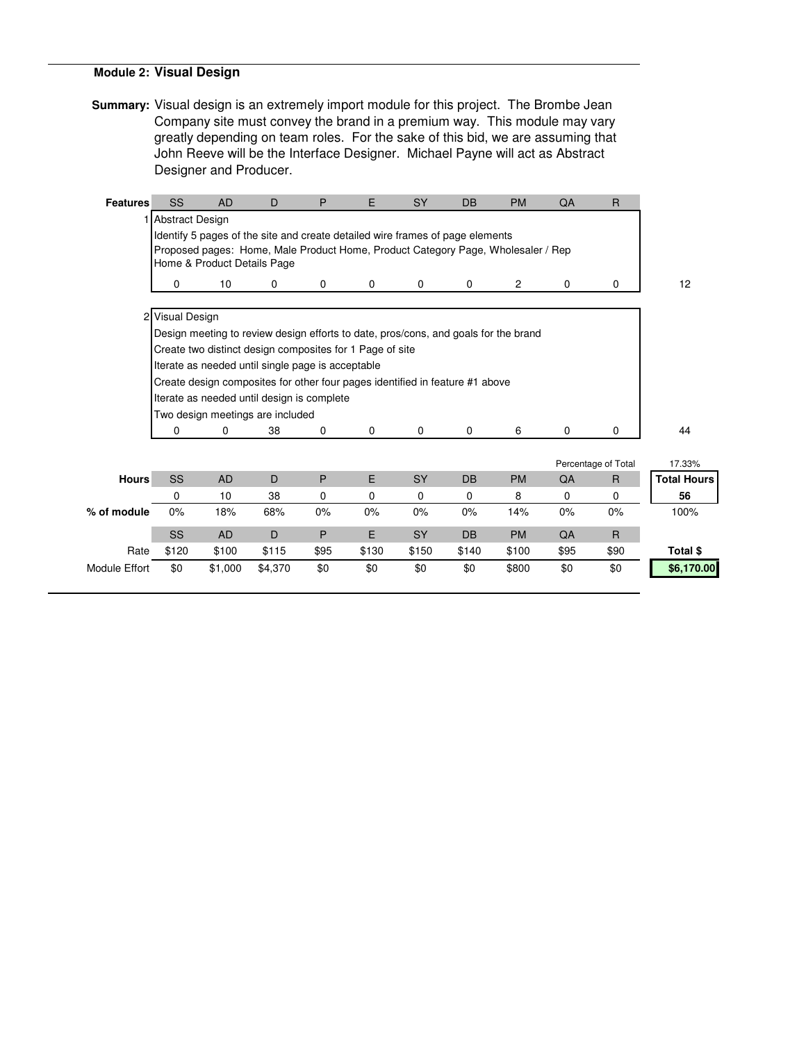## **Module 2: Visual Design**

**Summary:** Visual design is an extremely import module for this project. The Brombe Jean Company site must convey the brand in a premium way. This module may vary greatly depending on team roles. For the sake of this bid, we are assuming that John Reeve will be the Interface Designer. Michael Payne will act as Abstract Designer and Producer.

| <b>Features</b>      | SS                | <b>AD</b>                   | D                                                                                   | P    | E        | <b>SY</b>   | <b>DB</b>   | <b>PM</b>      | QA    | $\mathsf{R}$        |                    |
|----------------------|-------------------|-----------------------------|-------------------------------------------------------------------------------------|------|----------|-------------|-------------|----------------|-------|---------------------|--------------------|
|                      | 1 Abstract Design |                             |                                                                                     |      |          |             |             |                |       |                     |                    |
|                      |                   |                             | Identify 5 pages of the site and create detailed wire frames of page elements       |      |          |             |             |                |       |                     |                    |
|                      |                   |                             | Proposed pages: Home, Male Product Home, Product Category Page, Wholesaler / Rep    |      |          |             |             |                |       |                     |                    |
|                      |                   | Home & Product Details Page |                                                                                     |      |          |             |             |                |       |                     |                    |
|                      | 0                 | 10                          | 0                                                                                   | 0    | 0        | $\mathbf 0$ | 0           | $\overline{2}$ | 0     | 0                   | 12                 |
|                      |                   |                             |                                                                                     |      |          |             |             |                |       |                     |                    |
|                      | 2 Visual Design   |                             |                                                                                     |      |          |             |             |                |       |                     |                    |
|                      |                   |                             | Design meeting to review design efforts to date, pros/cons, and goals for the brand |      |          |             |             |                |       |                     |                    |
|                      |                   |                             | Create two distinct design composites for 1 Page of site                            |      |          |             |             |                |       |                     |                    |
|                      |                   |                             | Iterate as needed until single page is acceptable                                   |      |          |             |             |                |       |                     |                    |
|                      |                   |                             | Create design composites for other four pages identified in feature #1 above        |      |          |             |             |                |       |                     |                    |
|                      |                   |                             | Iterate as needed until design is complete                                          |      |          |             |             |                |       |                     |                    |
|                      |                   |                             | Two design meetings are included                                                    |      |          |             |             |                |       |                     |                    |
|                      | 0                 | 0                           | 38                                                                                  | 0    | 0        | $\mathbf 0$ | $\mathbf 0$ | 6              | 0     | $\Omega$            | 44                 |
|                      |                   |                             |                                                                                     |      |          |             |             |                |       |                     |                    |
|                      |                   |                             |                                                                                     |      |          |             |             |                |       | Percentage of Total | 17.33%             |
| <b>Hours</b>         | SS                | <b>AD</b>                   | D                                                                                   | P    | E.       | <b>SY</b>   | <b>DB</b>   | <b>PM</b>      | QA    | $\mathsf{R}$        | <b>Total Hours</b> |
|                      | 0                 | 10                          | 38                                                                                  | 0    | $\Omega$ | $\Omega$    | 0           | 8              | 0     | 0                   | 56                 |
| % of module          | 0%                | 18%                         | 68%                                                                                 | 0%   | 0%       | 0%          | 0%          | 14%            | $0\%$ | 0%                  | 100%               |
|                      | <b>SS</b>         | <b>AD</b>                   | D                                                                                   | P    | E        | <b>SY</b>   | <b>DB</b>   | <b>PM</b>      | QA    | $\mathsf{R}$        |                    |
| Rate                 | \$120             | \$100                       | \$115                                                                               | \$95 | \$130    | \$150       | \$140       | \$100          | \$95  | \$90                | Total \$           |
| <b>Module Effort</b> | \$0               | \$1,000                     | \$4,370                                                                             | \$0  | \$0      | \$0         | \$0         | \$800          | \$0   | \$0                 | \$6,170.00         |
|                      |                   |                             |                                                                                     |      |          |             |             |                |       |                     |                    |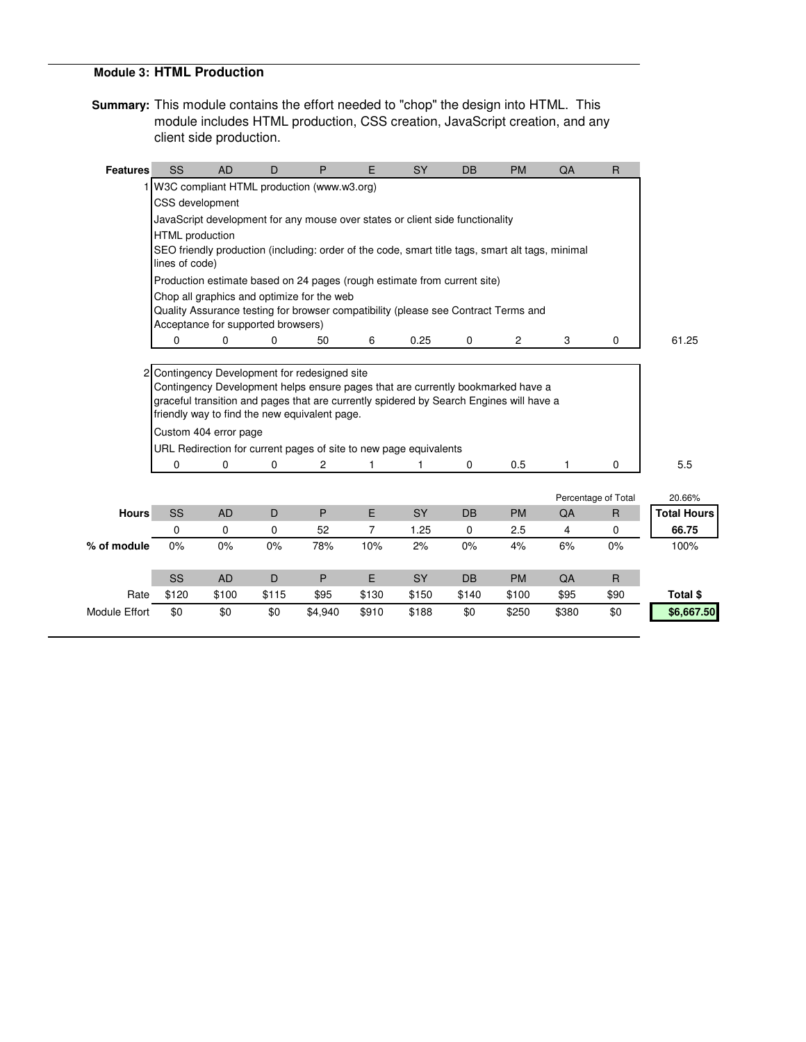### **Module 3: HTML Production**

**Summary:** This module contains the effort needed to "chop" the design into HTML. This module includes HTML production, CSS creation, JavaScript creation, and any client side production.

| <b>Features</b>      | SS              | <b>AD</b>                          | D     | P                                                                                                                                | E              | <b>SY</b> | <b>DB</b>   | <b>PM</b> | QA    | $\mathsf{R}$        |                    |
|----------------------|-----------------|------------------------------------|-------|----------------------------------------------------------------------------------------------------------------------------------|----------------|-----------|-------------|-----------|-------|---------------------|--------------------|
|                      |                 |                                    |       | 1 W3C compliant HTML production (www.w3.org)                                                                                     |                |           |             |           |       |                     |                    |
|                      | CSS development |                                    |       |                                                                                                                                  |                |           |             |           |       |                     |                    |
|                      |                 |                                    |       | JavaScript development for any mouse over states or client side functionality                                                    |                |           |             |           |       |                     |                    |
|                      | HTML production |                                    |       |                                                                                                                                  |                |           |             |           |       |                     |                    |
|                      | lines of code)  |                                    |       | SEO friendly production (including: order of the code, smart title tags, smart alt tags, minimal                                 |                |           |             |           |       |                     |                    |
|                      |                 |                                    |       | Production estimate based on 24 pages (rough estimate from current site)                                                         |                |           |             |           |       |                     |                    |
|                      |                 | Acceptance for supported browsers) |       | Chop all graphics and optimize for the web<br>Quality Assurance testing for browser compatibility (please see Contract Terms and |                |           |             |           |       |                     |                    |
|                      | $\mathbf 0$     | 0                                  | 0     | 50                                                                                                                               | 6              | 0.25      | $\mathbf 0$ | 2         | 3     | $\mathbf 0$         | 61.25              |
|                      |                 |                                    |       |                                                                                                                                  |                |           |             |           |       |                     |                    |
|                      |                 |                                    |       | 2 Contingency Development for redesigned site                                                                                    |                |           |             |           |       |                     |                    |
|                      |                 |                                    |       | Contingency Development helps ensure pages that are currently bookmarked have a                                                  |                |           |             |           |       |                     |                    |
|                      |                 |                                    |       | graceful transition and pages that are currently spidered by Search Engines will have a                                          |                |           |             |           |       |                     |                    |
|                      |                 |                                    |       | friendly way to find the new equivalent page.                                                                                    |                |           |             |           |       |                     |                    |
|                      |                 | Custom 404 error page              |       |                                                                                                                                  |                |           |             |           |       |                     |                    |
|                      |                 |                                    |       | URL Redirection for current pages of site to new page equivalents                                                                |                |           |             |           |       |                     |                    |
|                      | 0               | 0                                  | 0     | 2                                                                                                                                | 1              | 1         | 0           | 0.5       | 1     | 0                   | 5.5                |
|                      |                 |                                    |       |                                                                                                                                  |                |           |             |           |       |                     |                    |
|                      |                 |                                    |       |                                                                                                                                  |                |           |             |           |       | Percentage of Total | 20.66%             |
| <b>Hours</b>         | SS              | <b>AD</b>                          | D     | P                                                                                                                                | E              | <b>SY</b> | <b>DB</b>   | <b>PM</b> | QA    | $\mathsf{R}$        | <b>Total Hours</b> |
|                      | 0               | 0                                  | 0     | 52                                                                                                                               | $\overline{7}$ | 1.25      | 0           | 2.5       | 4     | $\mathbf 0$         | 66.75              |
| % of module          | 0%              | 0%                                 | 0%    | 78%                                                                                                                              | 10%            | 2%        | 0%          | 4%        | 6%    | 0%                  | 100%               |
|                      |                 |                                    |       |                                                                                                                                  |                |           |             |           |       |                     |                    |
|                      | SS              | <b>AD</b>                          | D     | P                                                                                                                                | E              | <b>SY</b> | <b>DB</b>   | <b>PM</b> | QA    | $\mathsf{R}$        |                    |
| Rate                 | \$120           | \$100                              | \$115 | \$95                                                                                                                             | \$130          | \$150     | \$140       | \$100     | \$95  | \$90                | Total \$           |
| <b>Module Effort</b> | \$0             | \$0                                | \$0   | \$4,940                                                                                                                          | \$910          | \$188     | \$0         | \$250     | \$380 | \$0                 | \$6,667.50         |
|                      |                 |                                    |       |                                                                                                                                  |                |           |             |           |       |                     |                    |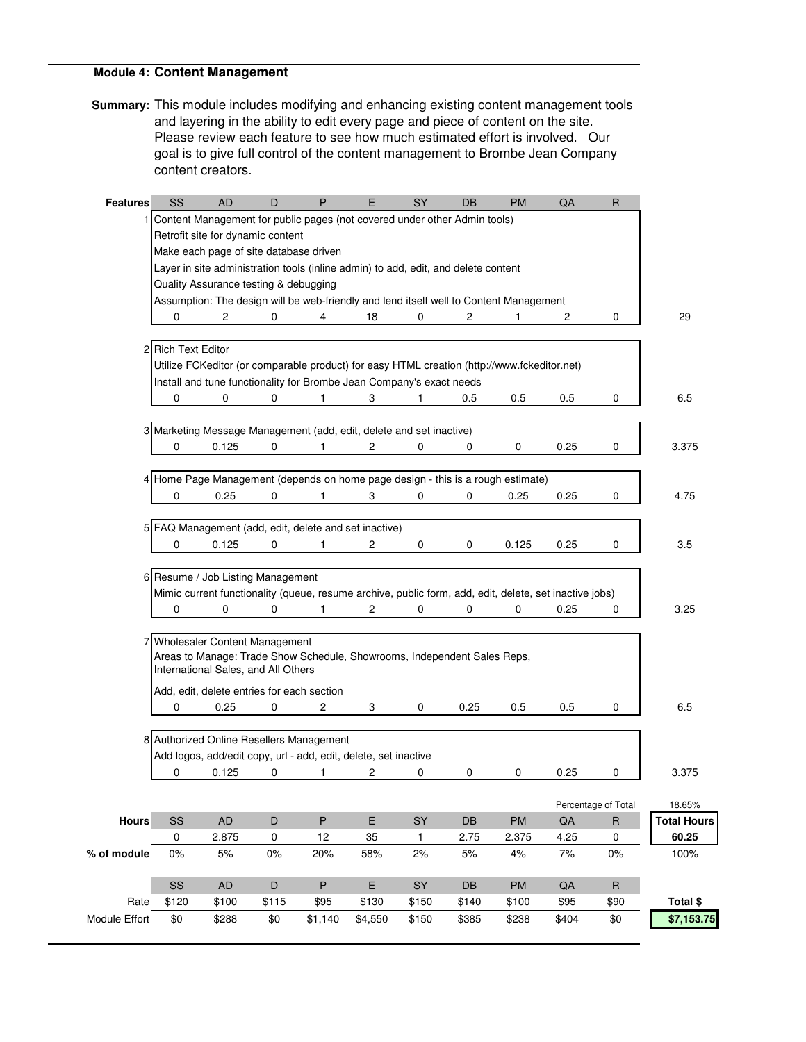## **Module 4: Content Management**

**Summary:** This module includes modifying and enhancing existing content management tools and layering in the ability to edit every page and piece of content on the site. Please review each feature to see how much estimated effort is involved. Our goal is to give full control of the content management to Brombe Jean Company content creators.

| <b>Features</b> | SS                 | <b>AD</b>                                                                                              | D         | P       | E              | SY           | DB    | <b>PM</b> | QA    | R                   |                    |
|-----------------|--------------------|--------------------------------------------------------------------------------------------------------|-----------|---------|----------------|--------------|-------|-----------|-------|---------------------|--------------------|
|                 |                    | Content Management for public pages (not covered under other Admin tools)                              |           |         |                |              |       |           |       |                     |                    |
|                 |                    | Retrofit site for dynamic content                                                                      |           |         |                |              |       |           |       |                     |                    |
|                 |                    | Make each page of site database driven                                                                 |           |         |                |              |       |           |       |                     |                    |
|                 |                    | Layer in site administration tools (inline admin) to add, edit, and delete content                     |           |         |                |              |       |           |       |                     |                    |
|                 |                    | Quality Assurance testing & debugging                                                                  |           |         |                |              |       |           |       |                     |                    |
|                 |                    | Assumption: The design will be web-friendly and lend itself well to Content Management                 |           |         |                |              |       |           |       |                     |                    |
|                 | 0                  | 2                                                                                                      | 0         | 4       | 18             | 0            | 2     | 1         | 2     | 0                   | 29                 |
|                 |                    |                                                                                                        |           |         |                |              |       |           |       |                     |                    |
|                 | 2 Rich Text Editor |                                                                                                        |           |         |                |              |       |           |       |                     |                    |
|                 |                    | Utilize FCKeditor (or comparable product) for easy HTML creation (http://www.fckeditor.net)            |           |         |                |              |       |           |       |                     |                    |
|                 |                    | Install and tune functionality for Brombe Jean Company's exact needs                                   |           |         |                |              |       |           |       |                     |                    |
|                 | 0                  | 0                                                                                                      | 0         | 1       | 3              | 1            | 0.5   | 0.5       | 0.5   | 0                   | 6.5                |
|                 |                    |                                                                                                        |           |         |                |              |       |           |       |                     |                    |
|                 |                    | 3 Marketing Message Management (add, edit, delete and set inactive)                                    |           |         |                |              |       |           |       |                     |                    |
|                 | 0                  | 0.125                                                                                                  | 0         | 1       | 2              | 0            | 0     | 0         | 0.25  | 0                   | 3.375              |
|                 |                    |                                                                                                        |           |         |                |              |       |           |       |                     |                    |
|                 |                    | 4 Home Page Management (depends on home page design - this is a rough estimate)                        |           |         |                |              |       |           |       |                     |                    |
|                 | 0                  | 0.25                                                                                                   | 0         | 1       | 3              | 0            | 0     | 0.25      | 0.25  | 0                   | 4.75               |
|                 |                    |                                                                                                        |           |         |                |              |       |           |       |                     |                    |
|                 |                    | 5 FAQ Management (add, edit, delete and set inactive)                                                  |           |         |                |              |       |           |       |                     |                    |
|                 | 0                  | 0.125                                                                                                  | 0         | 1       | $\overline{2}$ | 0            | 0     | 0.125     | 0.25  | 0                   | 3.5                |
|                 |                    |                                                                                                        |           |         |                |              |       |           |       |                     |                    |
|                 |                    | 6 Resume / Job Listing Management                                                                      |           |         |                |              |       |           |       |                     |                    |
|                 |                    | Mimic current functionality (queue, resume archive, public form, add, edit, delete, set inactive jobs) |           |         |                |              |       |           |       |                     |                    |
|                 | $\Omega$           | 0                                                                                                      | $\Omega$  | 1       | 2              | $\Omega$     | 0     | 0         | 0.25  | 0                   | 3.25               |
|                 |                    | 7 Wholesaler Content Management                                                                        |           |         |                |              |       |           |       |                     |                    |
|                 |                    | Areas to Manage: Trade Show Schedule, Showrooms, Independent Sales Reps,                               |           |         |                |              |       |           |       |                     |                    |
|                 |                    | International Sales, and All Others                                                                    |           |         |                |              |       |           |       |                     |                    |
|                 |                    | Add, edit, delete entries for each section                                                             |           |         |                |              |       |           |       |                     |                    |
|                 | 0                  | 0.25                                                                                                   | 0         | 2       | 3              | 0            | 0.25  | 0.5       | 0.5   | 0                   | 6.5                |
|                 |                    |                                                                                                        |           |         |                |              |       |           |       |                     |                    |
|                 |                    | 8 Authorized Online Resellers Management                                                               |           |         |                |              |       |           |       |                     |                    |
|                 |                    | Add logos, add/edit copy, url - add, edit, delete, set inactive                                        |           |         |                |              |       |           |       |                     |                    |
|                 | 0                  | 0.125                                                                                                  | 0         | 1       | 2              | 0            | 0     | 0         | 0.25  | 0                   | 3.375              |
|                 |                    |                                                                                                        |           |         |                |              |       |           |       |                     |                    |
|                 |                    |                                                                                                        |           |         |                |              |       |           |       | Percentage of Total | 18.65%             |
| Hours           | SS                 | <b>AD</b>                                                                                              | D         | $\sf P$ | E              | SY           | DB    | PM        | QA    | $\sf R$             | <b>Total Hours</b> |
|                 | 0                  | 2.875                                                                                                  | $\pmb{0}$ | 12      | 35             | $\mathbf{1}$ | 2.75  | 2.375     | 4.25  | 0                   | 60.25              |
| % of module     | 0%                 | 5%                                                                                                     | $0\%$     | 20%     | 58%            | 2%           | $5%$  | 4%        | 7%    | 0%                  | 100%               |
|                 |                    |                                                                                                        |           |         |                |              |       |           |       |                     |                    |
|                 | SS                 | <b>AD</b>                                                                                              | D         | $\sf P$ | E              | SY           | DB    | PM        | QA    | $\sf R$             |                    |
| Rate            | \$120              | \$100                                                                                                  | \$115     | \$95    | \$130          | \$150        | \$140 | \$100     | \$95  | \$90                | Total \$           |
| Module Effort   | \$0                | \$288                                                                                                  | \$0       | \$1,140 | \$4,550        | \$150        | \$385 | \$238     | \$404 | \$0                 | \$7,153.75         |
|                 |                    |                                                                                                        |           |         |                |              |       |           |       |                     |                    |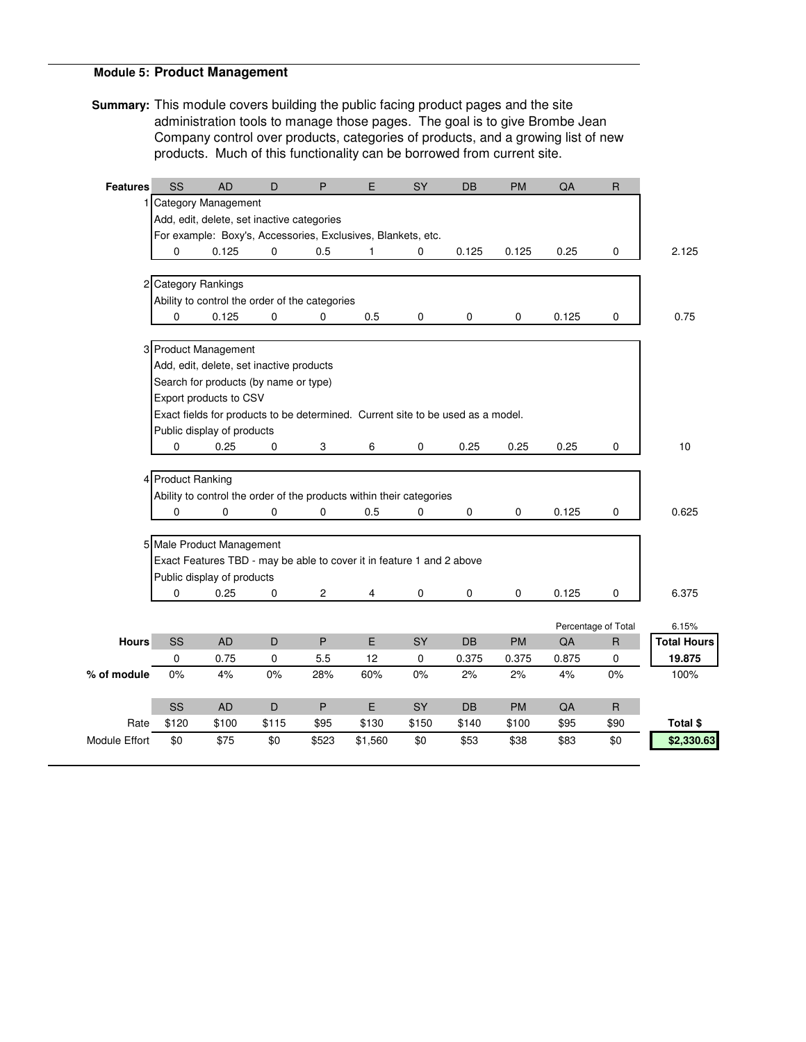### **Module 5: Product Management**

**Summary:** This module covers building the public facing product pages and the site administration tools to manage those pages. The goal is to give Brombe Jean Company control over products, categories of products, and a growing list of new products. Much of this functionality can be borrowed from current site.

| <b>Features</b>      | SS                  | <b>AD</b>                                      | D           | P              | E                                                                               | SY        | DB    | <b>PM</b>   | QA    | $\mathsf{R}$        |                    |
|----------------------|---------------------|------------------------------------------------|-------------|----------------|---------------------------------------------------------------------------------|-----------|-------|-------------|-------|---------------------|--------------------|
|                      |                     | 1 Category Management                          |             |                |                                                                                 |           |       |             |       |                     |                    |
|                      |                     | Add, edit, delete, set inactive categories     |             |                |                                                                                 |           |       |             |       |                     |                    |
|                      |                     |                                                |             |                | For example: Boxy's, Accessories, Exclusives, Blankets, etc.                    |           |       |             |       |                     |                    |
|                      | 0                   | 0.125                                          | $\mathbf 0$ | 0.5            | 1                                                                               | 0         | 0.125 | 0.125       | 0.25  | 0                   | 2.125              |
|                      | 2 Category Rankings |                                                |             |                |                                                                                 |           |       |             |       |                     |                    |
|                      |                     | Ability to control the order of the categories |             |                |                                                                                 |           |       |             |       |                     |                    |
|                      | 0                   | 0.125                                          | 0           | $\pmb{0}$      | 0.5                                                                             | $\pmb{0}$ | 0     | 0           | 0.125 | 0                   | 0.75               |
|                      |                     | 3 Product Management                           |             |                |                                                                                 |           |       |             |       |                     |                    |
|                      |                     | Add, edit, delete, set inactive products       |             |                |                                                                                 |           |       |             |       |                     |                    |
|                      |                     | Search for products (by name or type)          |             |                |                                                                                 |           |       |             |       |                     |                    |
|                      |                     | Export products to CSV                         |             |                |                                                                                 |           |       |             |       |                     |                    |
|                      |                     |                                                |             |                | Exact fields for products to be determined. Current site to be used as a model. |           |       |             |       |                     |                    |
|                      |                     | Public display of products                     |             |                |                                                                                 |           |       |             |       |                     |                    |
|                      | 0                   | 0.25                                           | $\mathbf 0$ | 3              | 6                                                                               | 0         | 0.25  | 0.25        | 0.25  | 0                   | 10                 |
|                      |                     |                                                |             |                |                                                                                 |           |       |             |       |                     |                    |
|                      | 4 Product Ranking   |                                                |             |                |                                                                                 |           |       |             |       |                     |                    |
|                      |                     |                                                |             |                | Ability to control the order of the products within their categories            |           |       |             |       |                     |                    |
|                      | $\Omega$            | 0                                              | $\Omega$    | $\Omega$       | 0.5                                                                             | $\Omega$  | 0     | $\mathbf 0$ | 0.125 | 0                   | 0.625              |
|                      |                     |                                                |             |                |                                                                                 |           |       |             |       |                     |                    |
|                      |                     | 5 Male Product Management                      |             |                |                                                                                 |           |       |             |       |                     |                    |
|                      |                     |                                                |             |                | Exact Features TBD - may be able to cover it in feature 1 and 2 above           |           |       |             |       |                     |                    |
|                      |                     | Public display of products                     |             |                |                                                                                 |           |       |             |       |                     |                    |
|                      | 0                   | 0.25                                           | 0           | $\overline{c}$ | 4                                                                               | 0         | 0     | 0           | 0.125 | 0                   | 6.375              |
|                      |                     |                                                |             |                |                                                                                 |           |       |             |       | Percentage of Total | 6.15%              |
| <b>Hours</b>         | SS                  | <b>AD</b>                                      | D           | P              | E                                                                               | SY        | DB    | <b>PM</b>   | QA    | ${\sf R}$           | <b>Total Hours</b> |
|                      | $\mathbf 0$         | 0.75                                           | 0           | 5.5            | 12                                                                              | 0         | 0.375 | 0.375       | 0.875 | $\mathbf 0$         | 19.875             |
| % of module          | 0%                  | 4%                                             | 0%          | 28%            | 60%                                                                             | 0%        | 2%    | 2%          | 4%    | $0\%$               | 100%               |
|                      | SS                  | <b>AD</b>                                      | D           | $\sf P$        | E                                                                               | SY        | DB    | PM          | QA    | $\mathsf{R}$        |                    |
| Rate                 | \$120               | \$100                                          | \$115       | \$95           | \$130                                                                           | \$150     | \$140 | \$100       | \$95  | \$90                | Total \$           |
| <b>Module Effort</b> | \$0                 | \$75                                           | \$0         | \$523          | \$1,560                                                                         | \$0       | \$53  | \$38        | \$83  | \$0                 | \$2,330.63         |
|                      |                     |                                                |             |                |                                                                                 |           |       |             |       |                     |                    |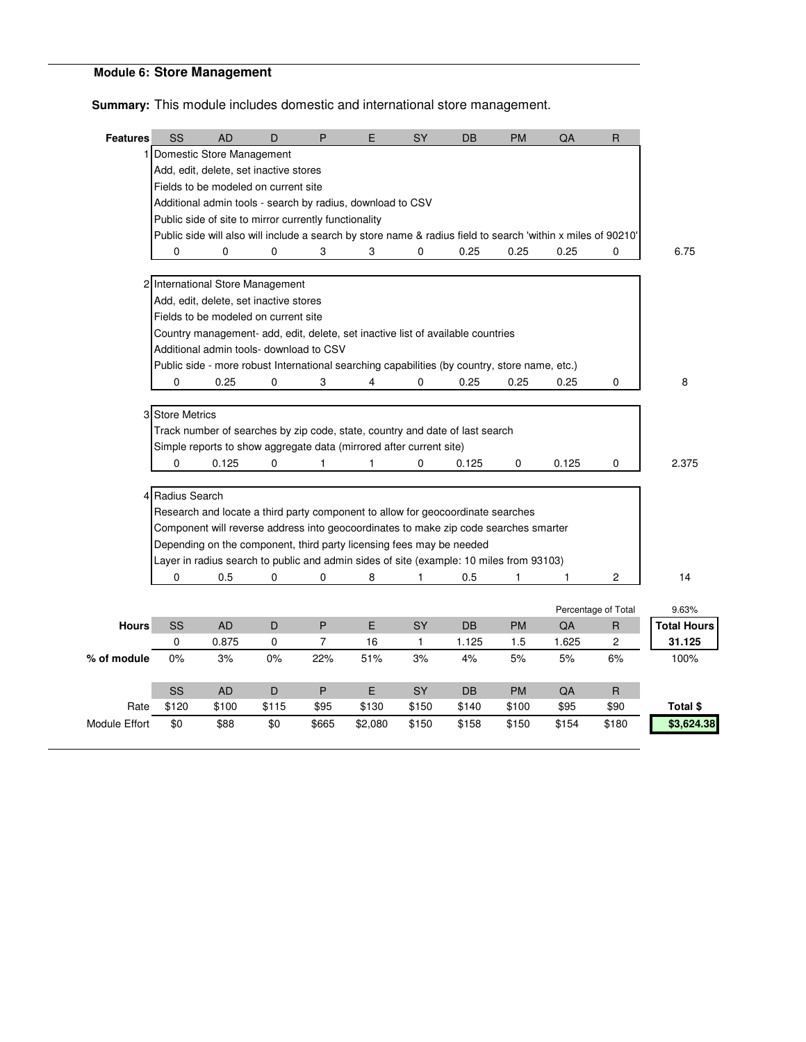# **Module 6: Store Management**

**Summary:** This module includes domestic and international store management.

| <b>Features</b>      | <b>SS</b>       | <b>AD</b>                                             | D     | P              | E                                                                                                            | <b>SY</b> | DB        | <b>PM</b> | QA    | $\mathsf{R}$        |                    |
|----------------------|-----------------|-------------------------------------------------------|-------|----------------|--------------------------------------------------------------------------------------------------------------|-----------|-----------|-----------|-------|---------------------|--------------------|
|                      |                 | Domestic Store Management                             |       |                |                                                                                                              |           |           |           |       |                     |                    |
|                      |                 | Add, edit, delete, set inactive stores                |       |                |                                                                                                              |           |           |           |       |                     |                    |
|                      |                 | Fields to be modeled on current site                  |       |                |                                                                                                              |           |           |           |       |                     |                    |
|                      |                 |                                                       |       |                | Additional admin tools - search by radius, download to CSV                                                   |           |           |           |       |                     |                    |
|                      |                 | Public side of site to mirror currently functionality |       |                |                                                                                                              |           |           |           |       |                     |                    |
|                      |                 |                                                       |       |                | Public side will also will include a search by store name & radius field to search 'within x miles of 90210' |           |           |           |       |                     |                    |
|                      | 0               | 0                                                     | 0     | 3              | 3                                                                                                            | 0         | 0.25      | 0.25      | 0.25  | 0                   | 6.75               |
|                      |                 |                                                       |       |                |                                                                                                              |           |           |           |       |                     |                    |
|                      |                 | 2 International Store Management                      |       |                |                                                                                                              |           |           |           |       |                     |                    |
|                      |                 | Add, edit, delete, set inactive stores                |       |                |                                                                                                              |           |           |           |       |                     |                    |
|                      |                 | Fields to be modeled on current site                  |       |                | Country management- add, edit, delete, set inactive list of available countries                              |           |           |           |       |                     |                    |
|                      |                 | Additional admin tools- download to CSV               |       |                |                                                                                                              |           |           |           |       |                     |                    |
|                      |                 |                                                       |       |                | Public side - more robust International searching capabilities (by country, store name, etc.)                |           |           |           |       |                     |                    |
|                      | $\Omega$        | 0.25                                                  | 0     | 3              | 4                                                                                                            | 0         | 0.25      | 0.25      | 0.25  | 0                   | 8                  |
|                      |                 |                                                       |       |                |                                                                                                              |           |           |           |       |                     |                    |
|                      | 3 Store Metrics |                                                       |       |                |                                                                                                              |           |           |           |       |                     |                    |
|                      |                 |                                                       |       |                | Track number of searches by zip code, state, country and date of last search                                 |           |           |           |       |                     |                    |
|                      |                 |                                                       |       |                | Simple reports to show aggregate data (mirrored after current site)                                          |           |           |           |       |                     |                    |
|                      | $\Omega$        | 0.125                                                 | 0     | 1              | 1                                                                                                            | $\Omega$  | 0.125     | 0         | 0.125 | 0                   | 2.375              |
|                      |                 |                                                       |       |                |                                                                                                              |           |           |           |       |                     |                    |
|                      | 4 Radius Search |                                                       |       |                |                                                                                                              |           |           |           |       |                     |                    |
|                      |                 |                                                       |       |                | Research and locate a third party component to allow for geocoordinate searches                              |           |           |           |       |                     |                    |
|                      |                 |                                                       |       |                | Component will reverse address into geocoordinates to make zip code searches smarter                         |           |           |           |       |                     |                    |
|                      |                 |                                                       |       |                | Depending on the component, third party licensing fees may be needed                                         |           |           |           |       |                     |                    |
|                      |                 |                                                       |       |                | Layer in radius search to public and admin sides of site (example: 10 miles from 93103)                      |           |           |           |       |                     |                    |
|                      | 0               | 0.5                                                   | 0     | $\Omega$       | 8                                                                                                            | 1         | 0.5       | 1         | 1     | 2                   | 14                 |
|                      |                 |                                                       |       |                |                                                                                                              |           |           |           |       |                     |                    |
|                      |                 |                                                       |       |                |                                                                                                              |           |           |           |       | Percentage of Total | 9.63%              |
| <b>Hours</b>         | SS              | <b>AD</b>                                             | D     | $\mathsf{P}$   | E                                                                                                            | SY        | DB        | <b>PM</b> | QA    | $\sf R$             | <b>Total Hours</b> |
|                      | 0               | 0.875                                                 | 0     | $\overline{7}$ | 16                                                                                                           | 1         | 1.125     | 1.5       | 1.625 | $\overline{c}$      | 31.125             |
| % of module          | 0%              | 3%                                                    | 0%    | 22%            | 51%                                                                                                          | 3%        | 4%        | $5%$      | $5%$  | 6%                  | 100%               |
|                      | SS              | <b>AD</b>                                             | D     | P              | E                                                                                                            | <b>SY</b> | <b>DB</b> | <b>PM</b> | QA    | $\mathsf{R}$        |                    |
| Rate                 | \$120           | \$100                                                 | \$115 | \$95           | \$130                                                                                                        | \$150     | \$140     | \$100     | \$95  | \$90                | Total \$           |
| <b>Module Effort</b> | \$0             | \$88                                                  | \$0   | \$665          | \$2,080                                                                                                      | \$150     | \$158     | \$150     | \$154 | \$180               | \$3,624.38         |
|                      |                 |                                                       |       |                |                                                                                                              |           |           |           |       |                     |                    |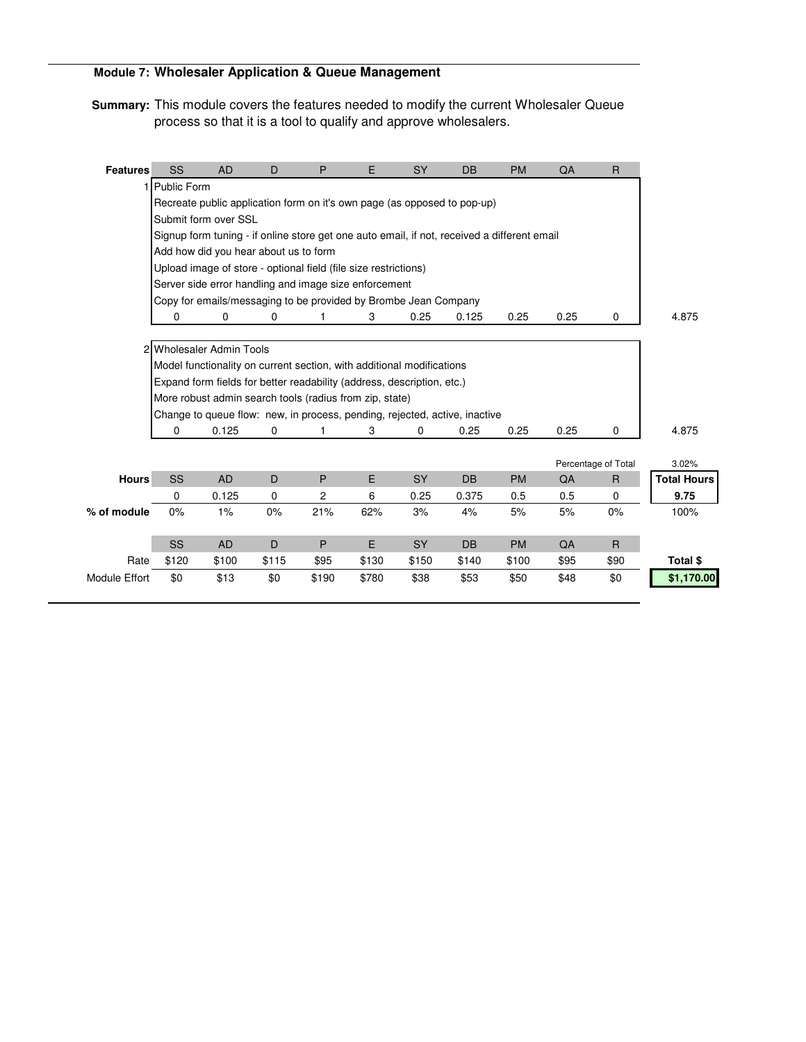## **Module 7: Wholesaler Application & Queue Management**

**Summary:** This module covers the features needed to modify the current Wholesaler Queue process so that it is a tool to qualify and approve wholesalers.

| <b>Features</b> | SS            | <b>AD</b>                                                              | D           | P     | E     | <b>SY</b> | DB                                                                                          | <b>PM</b> | QA   | $\overline{R}$      |                    |
|-----------------|---------------|------------------------------------------------------------------------|-------------|-------|-------|-----------|---------------------------------------------------------------------------------------------|-----------|------|---------------------|--------------------|
|                 | 1 Public Form |                                                                        |             |       |       |           |                                                                                             |           |      |                     |                    |
|                 |               |                                                                        |             |       |       |           | Recreate public application form on it's own page (as opposed to pop-up)                    |           |      |                     |                    |
|                 |               | Submit form over SSL                                                   |             |       |       |           |                                                                                             |           |      |                     |                    |
|                 |               |                                                                        |             |       |       |           | Signup form tuning - if online store get one auto email, if not, received a different email |           |      |                     |                    |
|                 |               | Add how did you hear about us to form                                  |             |       |       |           |                                                                                             |           |      |                     |                    |
|                 |               | Upload image of store - optional field (file size restrictions)        |             |       |       |           |                                                                                             |           |      |                     |                    |
|                 |               | Server side error handling and image size enforcement                  |             |       |       |           |                                                                                             |           |      |                     |                    |
|                 |               | Copy for emails/messaging to be provided by Brombe Jean Company        |             |       |       |           |                                                                                             |           |      |                     |                    |
|                 | 0             | 0                                                                      | 0           |       | 3     | 0.25      | 0.125                                                                                       | 0.25      | 0.25 | 0                   | 4.875              |
|                 |               |                                                                        |             |       |       |           |                                                                                             |           |      |                     |                    |
|                 |               | 2 Wholesaler Admin Tools                                               |             |       |       |           |                                                                                             |           |      |                     |                    |
|                 |               | Model functionality on current section, with additional modifications  |             |       |       |           |                                                                                             |           |      |                     |                    |
|                 |               | Expand form fields for better readability (address, description, etc.) |             |       |       |           |                                                                                             |           |      |                     |                    |
|                 |               | More robust admin search tools (radius from zip, state)                |             |       |       |           |                                                                                             |           |      |                     |                    |
|                 |               |                                                                        |             |       |       |           | Change to queue flow: new, in process, pending, rejected, active, inactive                  |           |      |                     |                    |
|                 | 0             | 0.125                                                                  | 0           | 1     | 3     | 0         | 0.25                                                                                        | 0.25      | 0.25 | 0                   | 4.875              |
|                 |               |                                                                        |             |       |       |           |                                                                                             |           |      |                     |                    |
|                 |               |                                                                        |             |       |       |           |                                                                                             |           |      | Percentage of Total | 3.02%              |
| <b>Hours</b>    | SS            | <b>AD</b>                                                              | D           | P     | E     | <b>SY</b> | <b>DB</b>                                                                                   | <b>PM</b> | QA   | $\overline{R}$      | <b>Total Hours</b> |
|                 | 0             | 0.125                                                                  | $\mathbf 0$ | 2     | 6     | 0.25      | 0.375                                                                                       | 0.5       | 0.5  | $\mathbf 0$         | 9.75               |
| % of module     | 0%            | 1%                                                                     | $0\%$       | 21%   | 62%   | 3%        | 4%                                                                                          | 5%        | 5%   | 0%                  | 100%               |
|                 |               |                                                                        |             |       |       |           |                                                                                             |           |      |                     |                    |
|                 | SS            | <b>AD</b>                                                              | D           | P     | E     | <b>SY</b> | <b>DB</b>                                                                                   | <b>PM</b> | QA   | $\overline{R}$      |                    |
| Rate            | \$120         | \$100                                                                  | \$115       | \$95  | \$130 | \$150     | \$140                                                                                       | \$100     | \$95 | \$90                | Total \$           |
| Module Effort   | \$0           | \$13                                                                   | \$0         | \$190 | \$780 | \$38      | \$53                                                                                        | \$50      | \$48 | \$0                 | \$1,170.00         |
|                 |               |                                                                        |             |       |       |           |                                                                                             |           |      |                     |                    |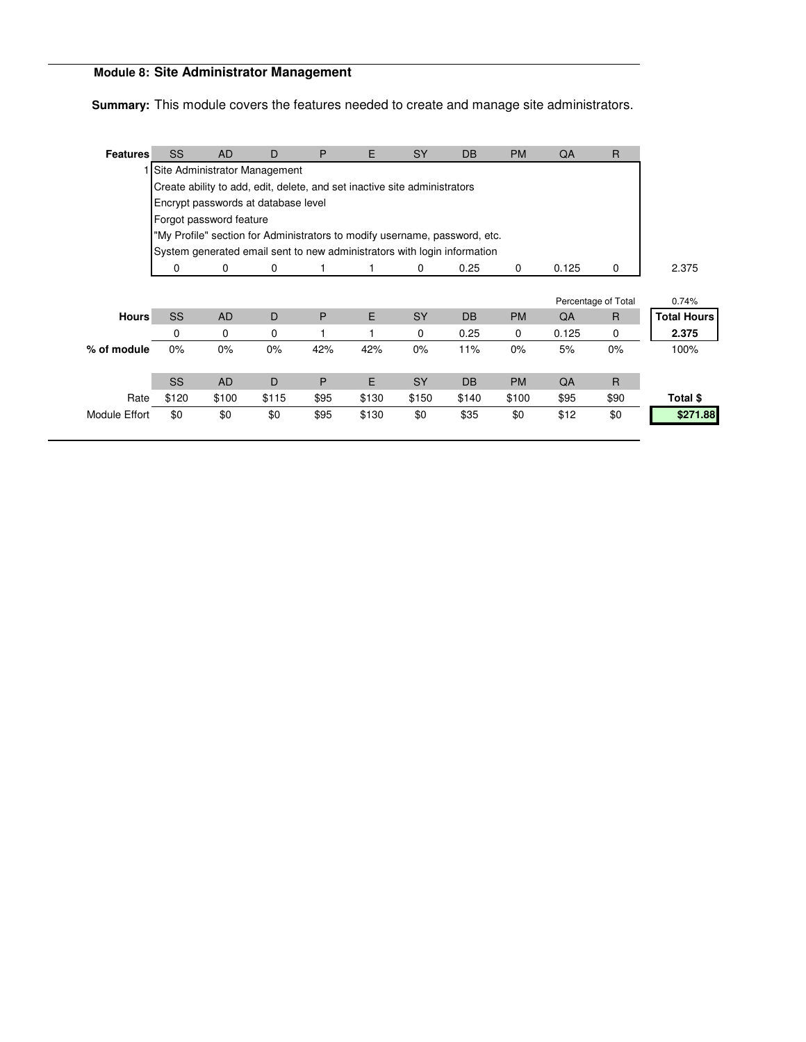# **Module 8: Site Administrator Management**

**Summary:** This module covers the features needed to create and manage site administrators.

| <b>Features</b>      | SS                            | <b>AD</b>   | D                                                                          | P    | E     | <b>SY</b> | <b>DB</b> | <b>PM</b> | QA    | $\mathsf{R}$        |                    |
|----------------------|-------------------------------|-------------|----------------------------------------------------------------------------|------|-------|-----------|-----------|-----------|-------|---------------------|--------------------|
|                      | Site Administrator Management |             |                                                                            |      |       |           |           |           |       |                     |                    |
|                      |                               |             | Create ability to add, edit, delete, and set inactive site administrators  |      |       |           |           |           |       |                     |                    |
|                      |                               |             | Encrypt passwords at database level                                        |      |       |           |           |           |       |                     |                    |
|                      | Forgot password feature       |             |                                                                            |      |       |           |           |           |       |                     |                    |
|                      |                               |             | "My Profile" section for Administrators to modify username, password, etc. |      |       |           |           |           |       |                     |                    |
|                      |                               |             | System generated email sent to new administrators with login information   |      |       |           |           |           |       |                     |                    |
|                      | 0                             | 0           | 0                                                                          |      |       | 0         | 0.25      | 0         | 0.125 | 0                   | 2.375              |
|                      |                               |             |                                                                            |      |       |           |           |           |       |                     |                    |
|                      |                               |             |                                                                            |      |       |           |           |           |       | Percentage of Total | 0.74%              |
| <b>Hours</b>         | SS                            | <b>AD</b>   | D                                                                          | P    | E     | <b>SY</b> | <b>DB</b> | <b>PM</b> | QA    | R                   | <b>Total Hours</b> |
|                      | 0                             | $\mathbf 0$ | 0                                                                          |      |       | 0         | 0.25      | 0         | 0.125 | $\mathbf 0$         | 2.375              |
| % of module          | 0%                            | $0\%$       | 0%                                                                         | 42%  | 42%   | 0%        | 11%       | $0\%$     | 5%    | 0%                  | 100%               |
|                      |                               |             |                                                                            |      |       |           |           |           |       |                     |                    |
|                      | <b>SS</b>                     | <b>AD</b>   | D                                                                          | P    | E.    | <b>SY</b> | <b>DB</b> | <b>PM</b> | QA    | $\overline{R}$      |                    |
| Rate                 | \$120                         | \$100       | \$115                                                                      | \$95 | \$130 | \$150     | \$140     | \$100     | \$95  | \$90                | Total \$           |
| <b>Module Effort</b> | \$0                           | \$0         | \$0                                                                        | \$95 | \$130 | \$0       | \$35      | \$0       | \$12  | \$0                 | \$271.88           |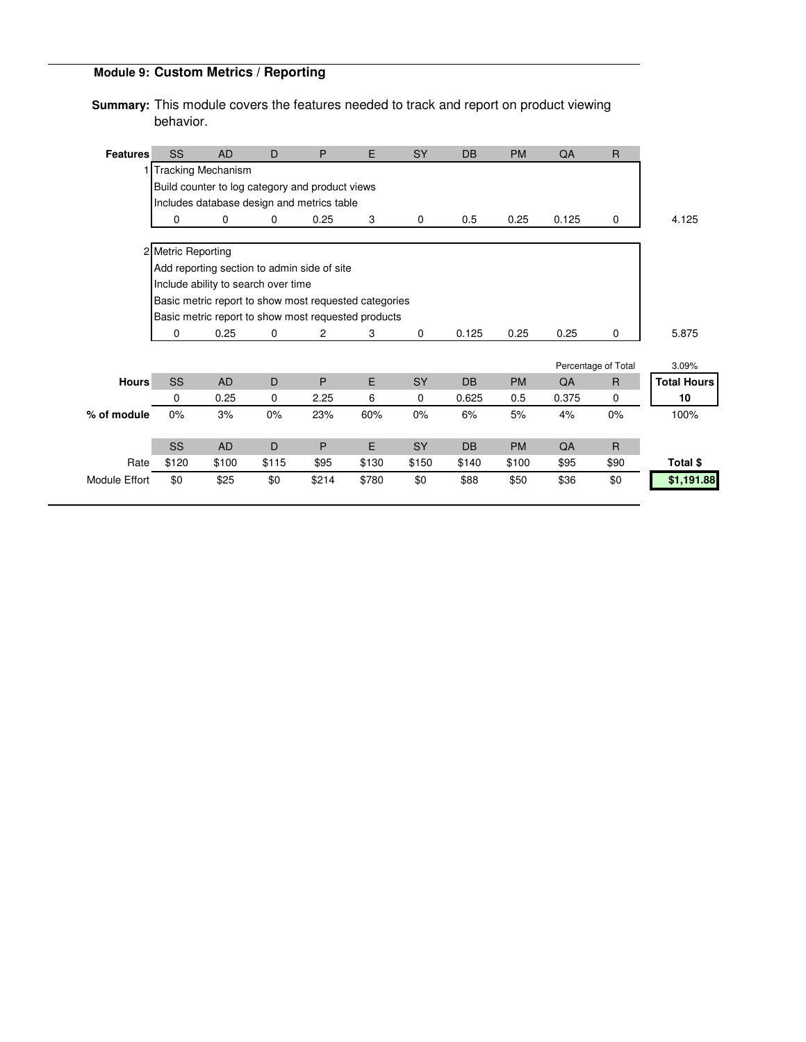# **Module 9: Custom Metrics / Reporting**

**Summary:** This module covers the features needed to track and report on product viewing behavior.

| <b>Features</b>      | SS                   | <b>AD</b>                                       | D     | P     | E                                                     | <b>SY</b>   | <b>DB</b> | <b>PM</b> | QA    | $\mathsf{R}$        |                    |
|----------------------|----------------------|-------------------------------------------------|-------|-------|-------------------------------------------------------|-------------|-----------|-----------|-------|---------------------|--------------------|
|                      | 1 Tracking Mechanism |                                                 |       |       |                                                       |             |           |           |       |                     |                    |
|                      |                      | Build counter to log category and product views |       |       |                                                       |             |           |           |       |                     |                    |
|                      |                      | Includes database design and metrics table      |       |       |                                                       |             |           |           |       |                     |                    |
|                      | 0                    | 0                                               | 0     | 0.25  | 3                                                     | $\mathbf 0$ | 0.5       | 0.25      | 0.125 | 0                   | 4.125              |
|                      | 2 Metric Reporting   |                                                 |       |       |                                                       |             |           |           |       |                     |                    |
|                      |                      | Add reporting section to admin side of site     |       |       |                                                       |             |           |           |       |                     |                    |
|                      |                      | Include ability to search over time             |       |       |                                                       |             |           |           |       |                     |                    |
|                      |                      |                                                 |       |       | Basic metric report to show most requested categories |             |           |           |       |                     |                    |
|                      |                      |                                                 |       |       | Basic metric report to show most requested products   |             |           |           |       |                     |                    |
|                      | 0                    | 0.25                                            | 0     | 2     | 3                                                     | $\mathbf 0$ | 0.125     | 0.25      | 0.25  | 0                   | 5.875              |
|                      |                      |                                                 |       |       |                                                       |             |           |           |       |                     |                    |
|                      |                      |                                                 |       |       |                                                       |             |           |           |       | Percentage of Total | 3.09%              |
| <b>Hours</b>         | SS                   | <b>AD</b>                                       | D     | P     | E                                                     | SY          | <b>DB</b> | <b>PM</b> | QA    | $\mathsf{R}$        | <b>Total Hours</b> |
|                      | 0                    | 0.25                                            | 0     | 2.25  | 6                                                     | 0           | 0.625     | 0.5       | 0.375 | $\mathbf 0$         | 10                 |
| % of module          | 0%                   | 3%                                              | 0%    | 23%   | 60%                                                   | 0%          | 6%        | 5%        | 4%    | $0\%$               | 100%               |
|                      |                      |                                                 |       |       |                                                       |             |           |           |       |                     |                    |
|                      | SS                   | <b>AD</b>                                       | D     | P     | E                                                     | SY          | <b>DB</b> | <b>PM</b> | QA    | $\overline{R}$      |                    |
| Rate                 | \$120                | \$100                                           | \$115 | \$95  | \$130                                                 | \$150       | \$140     | \$100     | \$95  | \$90                | Total \$           |
| <b>Module Effort</b> | \$0                  | \$25                                            | \$0   | \$214 | \$780                                                 | \$0         | \$88      | \$50      | \$36  | \$0                 | \$1,191.88         |
|                      |                      |                                                 |       |       |                                                       |             |           |           |       |                     |                    |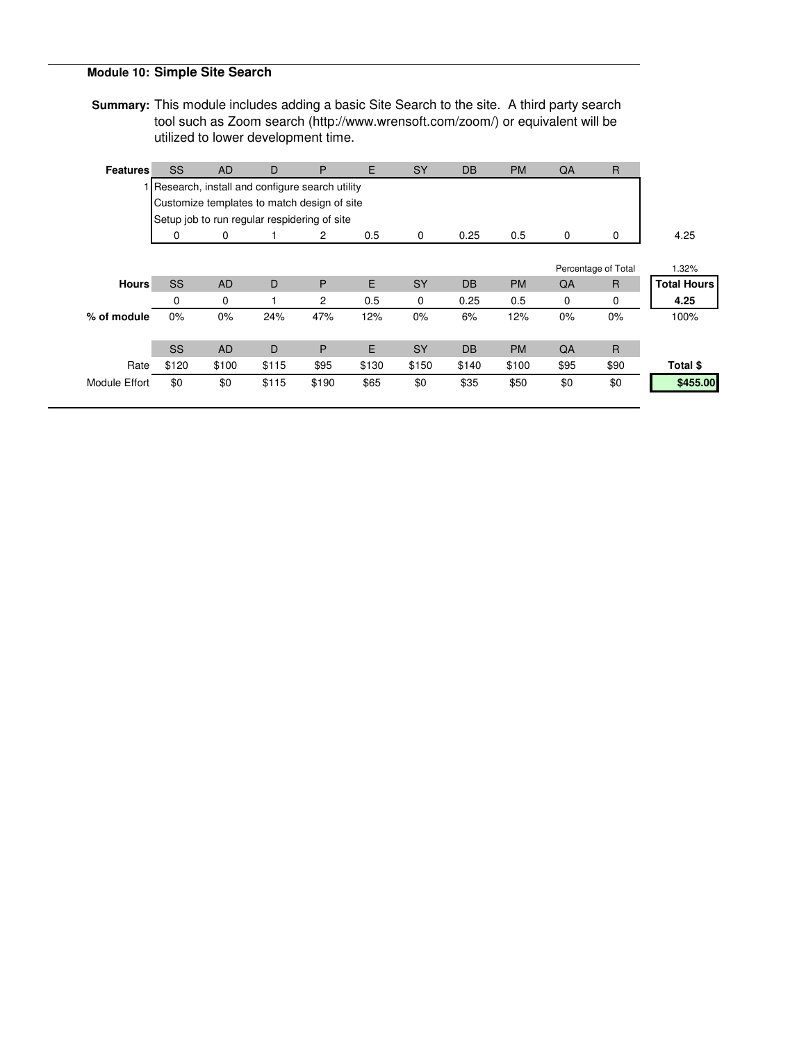## **Module 10: Simple Site Search**

**Summary:** This module includes adding a basic Site Search to the site. A third party search tool such as Zoom search (http://www.wrensoft.com/zoom/) or equivalent will be utilized to lower development time.

| <b>Features</b> | <b>SS</b> | <b>AD</b> | D                                                | P     | E     | SY        | <b>DB</b> | <b>PM</b> | QA   | $\mathsf{R}$        |                    |
|-----------------|-----------|-----------|--------------------------------------------------|-------|-------|-----------|-----------|-----------|------|---------------------|--------------------|
|                 |           |           | I Research, install and configure search utility |       |       |           |           |           |      |                     |                    |
|                 |           |           | Customize templates to match design of site      |       |       |           |           |           |      |                     |                    |
|                 |           |           | Setup job to run regular respidering of site     |       |       |           |           |           |      |                     |                    |
|                 | 0         | 0         |                                                  | 2     | 0.5   | 0         | 0.25      | 0.5       | 0    | 0                   | 4.25               |
|                 |           |           |                                                  |       |       |           |           |           |      |                     |                    |
|                 |           |           |                                                  |       |       |           |           |           |      | Percentage of Total | 1.32%              |
| <b>Hours</b>    | SS        | <b>AD</b> | D                                                | P     | E     | SY        | <b>DB</b> | <b>PM</b> | QA   | $\mathsf{R}$        | <b>Total Hours</b> |
|                 | 0         | 0         |                                                  | 2     | 0.5   | 0         | 0.25      | 0.5       | 0    | 0                   | 4.25               |
| % of module     | 0%        | $0\%$     | 24%                                              | 47%   | 12%   | $0\%$     | 6%        | 12%       | 0%   | $0\%$               | 100%               |
|                 |           |           |                                                  |       |       |           |           |           |      |                     |                    |
|                 | <b>SS</b> | <b>AD</b> | D                                                | P     | E     | <b>SY</b> | <b>DB</b> | <b>PM</b> | QA   | $\mathsf{R}$        |                    |
| Rate            | \$120     | \$100     | \$115                                            | \$95  | \$130 | \$150     | \$140     | \$100     | \$95 | \$90                | Total \$           |
| Module Effort   | \$0       | \$0       | \$115                                            | \$190 | \$65  | \$0       | \$35      | \$50      | \$0  | \$0                 | \$455.00           |
|                 |           |           |                                                  |       |       |           |           |           |      |                     |                    |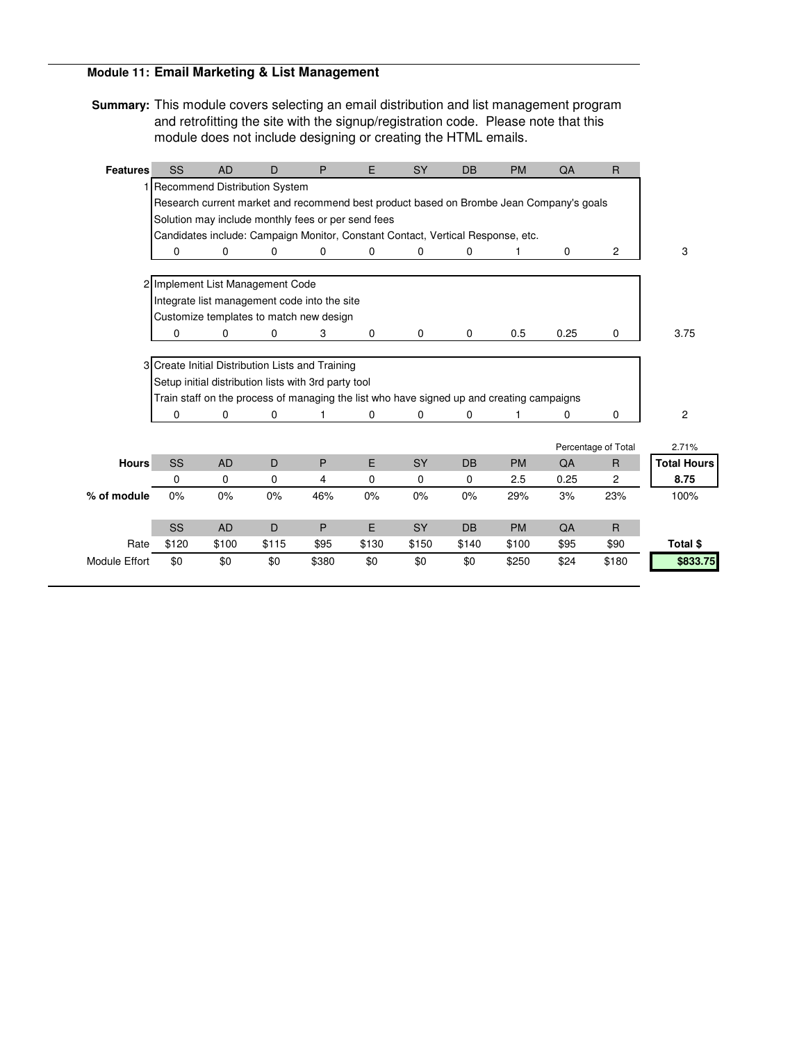## **Module 11: Email Marketing & List Management**

**Summary:** This module covers selecting an email distribution and list management program and retrofitting the site with the signup/registration code. Please note that this module does not include designing or creating the HTML emails.

| <b>Features</b>      | SS                                               | <b>AD</b> | D                                                    | P     | E.       | <b>SY</b>                                                                       | <b>DB</b>   | <b>PM</b>                                                                                 | QA          | $\mathsf{R}$        |                    |
|----------------------|--------------------------------------------------|-----------|------------------------------------------------------|-------|----------|---------------------------------------------------------------------------------|-------------|-------------------------------------------------------------------------------------------|-------------|---------------------|--------------------|
|                      | 1 Recommend Distribution System                  |           |                                                      |       |          |                                                                                 |             |                                                                                           |             |                     |                    |
|                      |                                                  |           |                                                      |       |          |                                                                                 |             | Research current market and recommend best product based on Brombe Jean Company's goals   |             |                     |                    |
|                      |                                                  |           | Solution may include monthly fees or per send fees   |       |          |                                                                                 |             |                                                                                           |             |                     |                    |
|                      |                                                  |           |                                                      |       |          | Candidates include: Campaign Monitor, Constant Contact, Vertical Response, etc. |             |                                                                                           |             |                     |                    |
|                      | 0                                                | 0         | 0                                                    | 0     | 0        | 0                                                                               | 0           |                                                                                           | $\mathbf 0$ | $\overline{c}$      | 3                  |
|                      | 2 Implement List Management Code                 |           |                                                      |       |          |                                                                                 |             |                                                                                           |             |                     |                    |
|                      |                                                  |           | Integrate list management code into the site         |       |          |                                                                                 |             |                                                                                           |             |                     |                    |
|                      |                                                  |           | Customize templates to match new design              |       |          |                                                                                 |             |                                                                                           |             |                     |                    |
|                      | 0                                                | 0         | 0                                                    | 3     | 0        | $\mathbf 0$                                                                     | $\mathbf 0$ | 0.5                                                                                       | 0.25        | 0                   | 3.75               |
|                      |                                                  |           |                                                      |       |          |                                                                                 |             |                                                                                           |             |                     |                    |
|                      | 3 Create Initial Distribution Lists and Training |           |                                                      |       |          |                                                                                 |             |                                                                                           |             |                     |                    |
|                      |                                                  |           | Setup initial distribution lists with 3rd party tool |       |          |                                                                                 |             |                                                                                           |             |                     |                    |
|                      |                                                  |           |                                                      |       |          |                                                                                 |             | Train staff on the process of managing the list who have signed up and creating campaigns |             |                     |                    |
|                      | 0                                                | 0         | 0                                                    |       | 0        | 0                                                                               | 0           |                                                                                           | 0           | $\Omega$            | $\overline{c}$     |
|                      |                                                  |           |                                                      |       |          |                                                                                 |             |                                                                                           |             |                     |                    |
|                      |                                                  |           |                                                      |       |          |                                                                                 |             |                                                                                           |             | Percentage of Total | 2.71%              |
| <b>Hours</b>         | SS                                               | <b>AD</b> | D                                                    | P     | E        | <b>SY</b>                                                                       | <b>DB</b>   | <b>PM</b>                                                                                 | QA          | R                   | <b>Total Hours</b> |
|                      | 0                                                | 0         | 0                                                    | 4     | $\Omega$ | 0                                                                               | $\mathbf 0$ | 2.5                                                                                       | 0.25        | $\overline{2}$      | 8.75               |
| % of module          | 0%                                               | 0%        | 0%                                                   | 46%   | 0%       | 0%                                                                              | 0%          | 29%                                                                                       | 3%          | 23%                 | 100%               |
|                      |                                                  |           |                                                      |       |          |                                                                                 |             |                                                                                           |             |                     |                    |
|                      | SS                                               | <b>AD</b> | D                                                    | P     | E.       | <b>SY</b>                                                                       | <b>DB</b>   | <b>PM</b>                                                                                 | QA          | $\mathsf{R}$        |                    |
| Rate                 | \$120                                            | \$100     | \$115                                                | \$95  | \$130    | \$150                                                                           | \$140       | \$100                                                                                     | \$95        | \$90                | Total \$           |
| <b>Module Effort</b> | \$0                                              | \$0       | \$0                                                  | \$380 | \$0      | \$0                                                                             | \$0         | \$250                                                                                     | \$24        | \$180               | \$833.75           |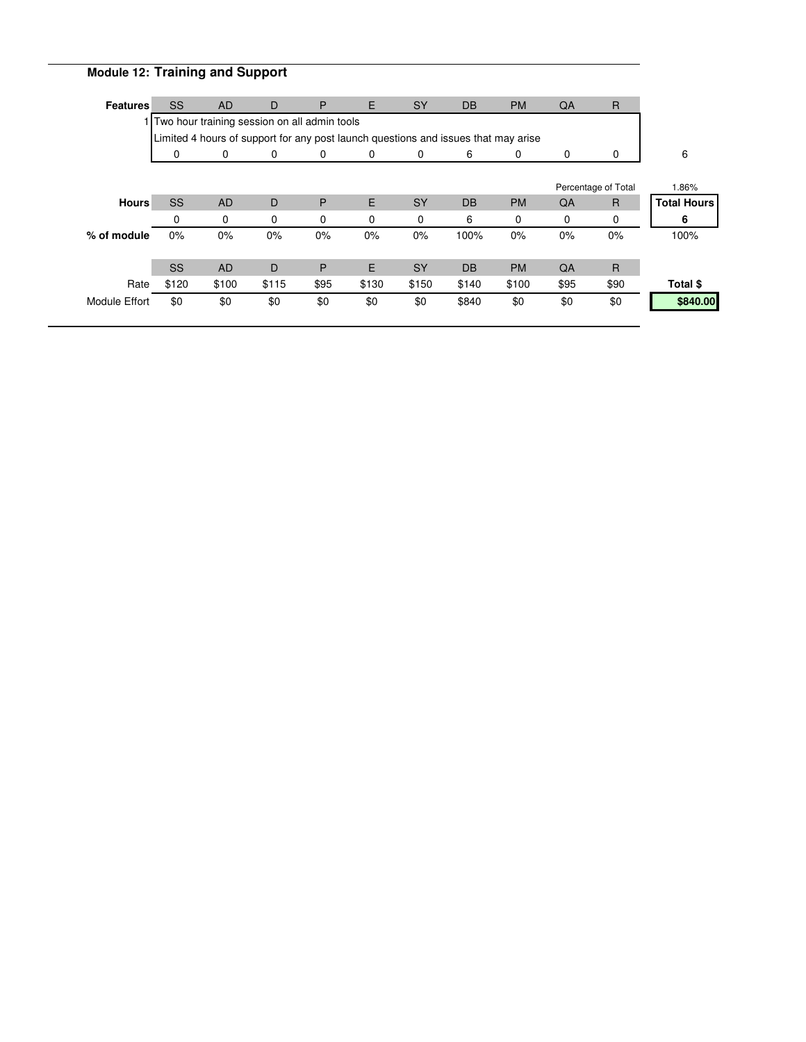# **Module 12: Training and Support**

| <b>Features</b>                                                                    | <b>SS</b> | <b>AD</b>   | D        | P        | E.    | <b>SY</b>   | <b>DB</b> | <b>PM</b>   | QA       | $\mathsf{R}$        |                    |
|------------------------------------------------------------------------------------|-----------|-------------|----------|----------|-------|-------------|-----------|-------------|----------|---------------------|--------------------|
| 1 Two hour training session on all admin tools                                     |           |             |          |          |       |             |           |             |          |                     |                    |
| Limited 4 hours of support for any post launch questions and issues that may arise |           |             |          |          |       |             |           |             |          |                     |                    |
|                                                                                    | 0         | $\mathbf 0$ | 0        | 0        | 0     | $\mathbf 0$ | 6         | $\mathbf 0$ | 0        | 0                   | 6                  |
|                                                                                    |           |             |          |          |       |             |           |             |          |                     |                    |
|                                                                                    |           |             |          |          |       |             |           |             |          | Percentage of Total | 1.86%              |
| <b>Hours</b>                                                                       | <b>SS</b> | <b>AD</b>   | D        | P        | E     | <b>SY</b>   | <b>DB</b> | <b>PM</b>   | QA       | R                   | <b>Total Hours</b> |
|                                                                                    | 0         | 0           | $\Omega$ | $\Omega$ | 0     | $\Omega$    | 6         | 0           | $\Omega$ | $\mathbf 0$         | 6                  |
| % of module                                                                        | 0%        | $0\%$       | 0%       | 0%       | 0%    | $0\%$       | 100%      | $0\%$       | 0%       | $0\%$               | 100%               |
|                                                                                    |           |             |          |          |       |             |           |             |          |                     |                    |
|                                                                                    | <b>SS</b> | <b>AD</b>   | D        | P        | Е     | <b>SY</b>   | DB        | <b>PM</b>   | QA       | $\mathsf{R}$        |                    |
| Rate                                                                               | \$120     | \$100       | \$115    | \$95     | \$130 | \$150       | \$140     | \$100       | \$95     | \$90                | Total \$           |
| Module Effort                                                                      | \$0       | \$0         | \$0      | \$0      | \$0   | \$0         | \$840     | \$0         | \$0      | \$0                 | \$840.00           |
|                                                                                    |           |             |          |          |       |             |           |             |          |                     |                    |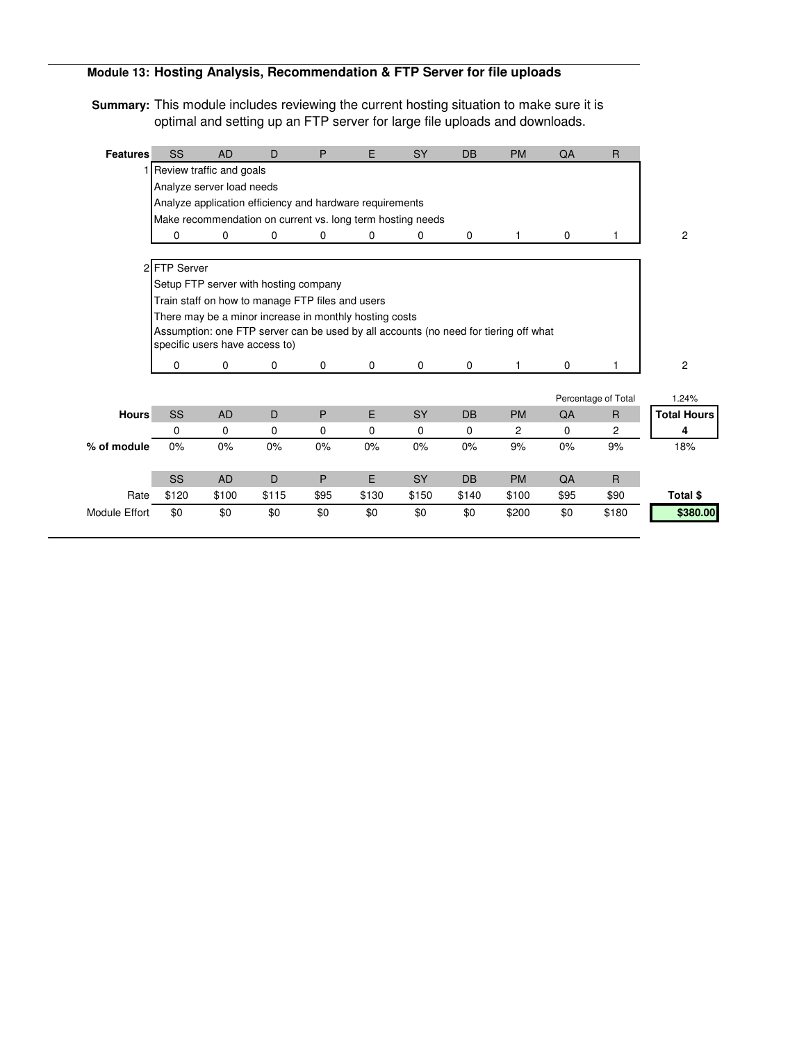## **Module 13: Hosting Analysis, Recommendation & FTP Server for file uploads**

**Summary:** This module includes reviewing the current hosting situation to make sure it is optimal and setting up an FTP server for large file uploads and downloads.

| 1 Review traffic and goals<br>Analyze server load needs<br>Analyze application efficiency and hardware requirements<br>Make recommendation on current vs. long term hosting needs<br>0<br>0<br>0<br>0<br>0<br>0<br>0<br>0<br>2 FTP Server | $\overline{2}$     |
|-------------------------------------------------------------------------------------------------------------------------------------------------------------------------------------------------------------------------------------------|--------------------|
|                                                                                                                                                                                                                                           |                    |
|                                                                                                                                                                                                                                           |                    |
|                                                                                                                                                                                                                                           |                    |
|                                                                                                                                                                                                                                           |                    |
|                                                                                                                                                                                                                                           |                    |
|                                                                                                                                                                                                                                           |                    |
|                                                                                                                                                                                                                                           |                    |
| Setup FTP server with hosting company                                                                                                                                                                                                     |                    |
| Train staff on how to manage FTP files and users                                                                                                                                                                                          |                    |
| There may be a minor increase in monthly hosting costs                                                                                                                                                                                    |                    |
| Assumption: one FTP server can be used by all accounts (no need for tiering off what                                                                                                                                                      |                    |
| specific users have access to)                                                                                                                                                                                                            |                    |
| $\mathbf 0$<br>$\mathbf 0$<br>$\mathbf 0$<br>0<br>0<br>0<br>$\mathbf 0$<br>0                                                                                                                                                              | $\overline{2}$     |
|                                                                                                                                                                                                                                           |                    |
| Percentage of Total                                                                                                                                                                                                                       | 1.24%              |
| SS<br>E<br><b>Hours</b><br>P<br>SY<br><b>AD</b><br>D<br><b>DB</b><br><b>PM</b><br>QA<br>$\mathsf{R}$                                                                                                                                      | <b>Total Hours</b> |
| $\overline{c}$<br>0<br>$\mathbf 0$<br>0<br>$\Omega$<br>$\Omega$<br>$\Omega$<br>$\mathbf 0$<br>$\mathbf 0$<br>$\overline{2}$                                                                                                               | 4                  |
| % of module<br>0%<br>0%<br>0%<br>0%<br>9%<br>0%<br>9%<br>0%<br>0%<br>0%                                                                                                                                                                   | 18%                |
|                                                                                                                                                                                                                                           |                    |
| <b>SS</b><br>D<br>P<br>E<br><b>AD</b><br><b>SY</b><br><b>DB</b><br><b>PM</b><br>QA<br>$\mathsf{R}$                                                                                                                                        |                    |
| Rate<br>\$120<br>\$100<br>\$115<br>\$95<br>\$130<br>\$150<br>\$95<br>\$90<br>\$140<br>\$100                                                                                                                                               | Total \$           |
| \$0<br>\$0<br>\$0<br>\$0<br>\$180<br><b>Module Effort</b><br>\$0<br>\$0<br>\$0<br>\$200<br>\$0                                                                                                                                            | \$380.00           |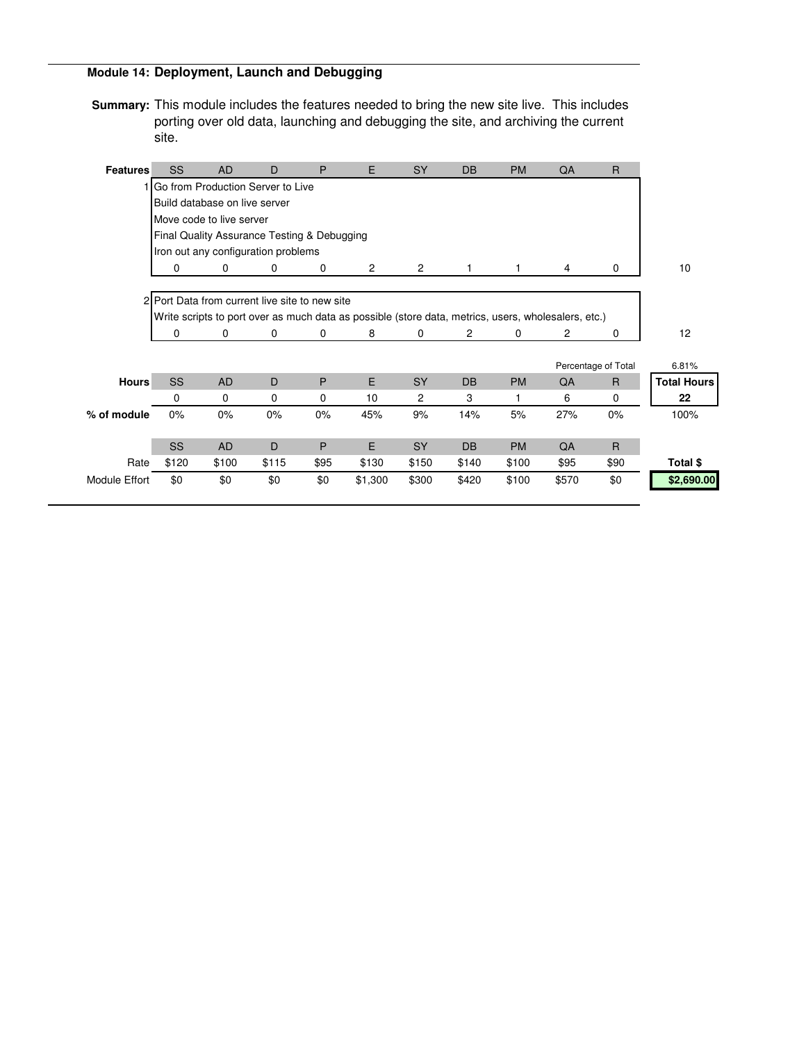## **Module 14: Deployment, Launch and Debugging**

**Summary:** This module includes the features needed to bring the new site live. This includes porting over old data, launching and debugging the site, and archiving the current site.

| <b>Features</b>                     | SS                            | <b>AD</b> | D                                              | P    | E                                                                                                   | <b>SY</b>      | <b>DB</b>      | <b>PM</b> | QA             | R                   |                    |
|-------------------------------------|-------------------------------|-----------|------------------------------------------------|------|-----------------------------------------------------------------------------------------------------|----------------|----------------|-----------|----------------|---------------------|--------------------|
| 1 Go from Production Server to Live |                               |           |                                                |      |                                                                                                     |                |                |           |                |                     |                    |
|                                     | Build database on live server |           |                                                |      |                                                                                                     |                |                |           |                |                     |                    |
| Move code to live server            |                               |           |                                                |      |                                                                                                     |                |                |           |                |                     |                    |
|                                     |                               |           | Final Quality Assurance Testing & Debugging    |      |                                                                                                     |                |                |           |                |                     |                    |
| Iron out any configuration problems |                               |           |                                                |      |                                                                                                     |                |                |           |                |                     |                    |
|                                     | 0                             | 0         | 0                                              | 0    | $\overline{c}$                                                                                      | $\overline{2}$ | 1              |           | 4              | 0                   | 10                 |
|                                     |                               |           |                                                |      |                                                                                                     |                |                |           |                |                     |                    |
|                                     |                               |           | 2 Port Data from current live site to new site |      |                                                                                                     |                |                |           |                |                     |                    |
|                                     |                               |           |                                                |      | Write scripts to port over as much data as possible (store data, metrics, users, wholesalers, etc.) |                |                |           |                |                     |                    |
|                                     | 0                             | 0         | 0                                              | 0    | 8                                                                                                   | 0              | $\overline{c}$ | 0         | $\overline{c}$ | $\mathbf 0$         | 12                 |
|                                     |                               |           |                                                |      |                                                                                                     |                |                |           |                |                     |                    |
|                                     |                               |           |                                                |      |                                                                                                     |                |                |           |                | Percentage of Total | 6.81%              |
| <b>Hours</b>                        | SS                            | <b>AD</b> | D                                              | P    | E                                                                                                   | <b>SY</b>      | <b>DB</b>      | <b>PM</b> | QA             | $\mathsf{R}$        | <b>Total Hours</b> |
|                                     | 0                             | 0         | 0                                              | 0    | 10                                                                                                  | 2              | 3              | 1         | 6              | 0                   | 22                 |
| % of module                         | $0\%$                         | 0%        | 0%                                             | 0%   | 45%                                                                                                 | 9%             | 14%            | 5%        | 27%            | $0\%$               | 100%               |
|                                     |                               |           |                                                |      |                                                                                                     |                |                |           |                |                     |                    |
|                                     | <b>SS</b>                     | <b>AD</b> | D                                              | P    | E                                                                                                   | <b>SY</b>      | <b>DB</b>      | <b>PM</b> | QA             | $\mathsf{R}$        |                    |
| Rate                                | \$120                         | \$100     | \$115                                          | \$95 | \$130                                                                                               | \$150          | \$140          | \$100     | \$95           | \$90                | Total \$           |
| <b>Module Effort</b>                | \$0                           | \$0       | \$0                                            | \$0  | \$1,300                                                                                             | \$300          | \$420          | \$100     | \$570          | \$0                 | \$2,690.00         |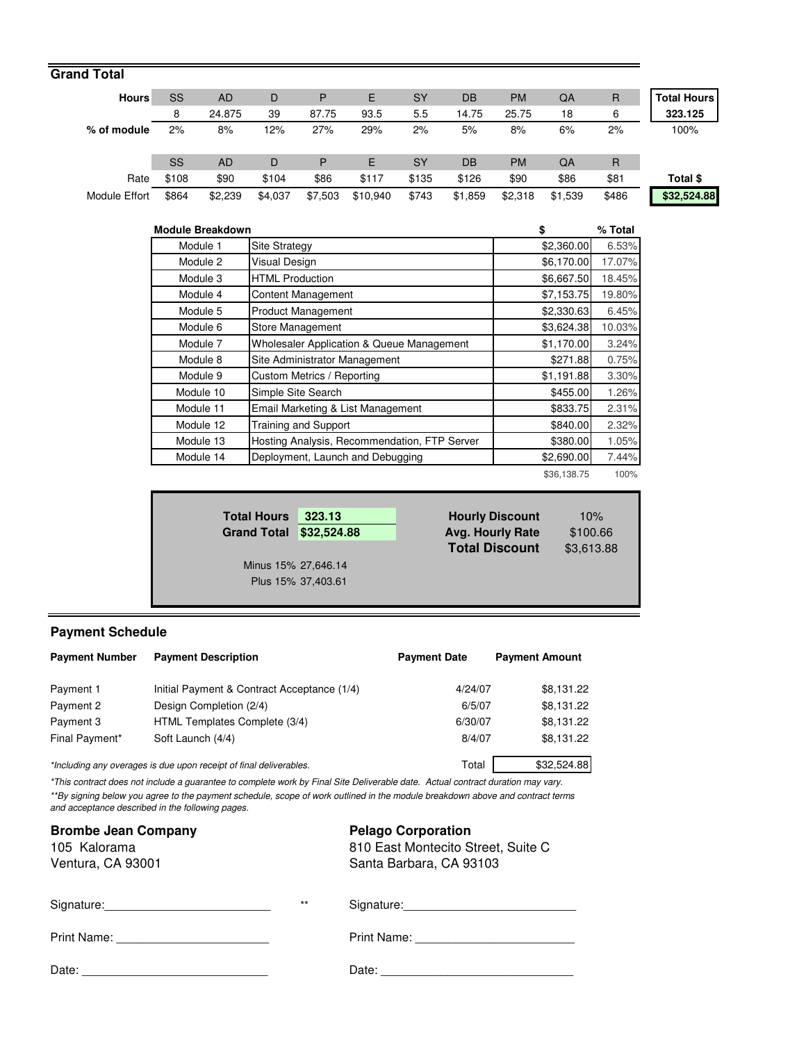| <b>Grand Total</b>   |       |           |         |         |          |           |         |           |         |              |                    |
|----------------------|-------|-----------|---------|---------|----------|-----------|---------|-----------|---------|--------------|--------------------|
| <b>Hours</b>         | SS    | <b>AD</b> | D       | P       | E.       | <b>SY</b> | DB      | <b>PM</b> | QA      | $\mathsf{R}$ | <b>Total Hours</b> |
|                      | 8     | 24.875    | 39      | 87.75   | 93.5     | 5.5       | 14.75   | 25.75     | 18      | 6            | 323.125            |
| % of module          | 2%    | 8%        | 12%     | 27%     | 29%      | 2%        | 5%      | 8%        | 6%      | 2%           | 100%               |
|                      | SS    | <b>AD</b> | D       | P       | E.       | <b>SY</b> | DB      | <b>PM</b> | QA      | R            |                    |
| Rate                 | \$108 | \$90      | \$104   | \$86    | \$117    | \$135     | \$126   | \$90      | \$86    | \$81         | Total \$           |
| <b>Module Effort</b> | \$864 | \$2,239   | \$4,037 | \$7,503 | \$10,940 | \$743     | \$1,859 | \$2,318   | \$1,539 | \$486        | \$32,524.88        |

| <b>Module Breakdown</b> |                                              | \$         | % Total |
|-------------------------|----------------------------------------------|------------|---------|
| Module 1                | <b>Site Strategy</b>                         | \$2,360.00 | 6.53%   |
| Module 2                | <b>Visual Design</b>                         | \$6,170.00 | 17.07%  |
| Module 3                | <b>HTML Production</b>                       | \$6,667.50 | 18.45%  |
| Module 4                | <b>Content Management</b>                    | \$7,153.75 | 19.80%  |
| Module 5                | Product Management                           | \$2,330.63 | 6.45%   |
| Module 6                | Store Management                             | \$3,624.38 | 10.03%  |
| Module 7                | Wholesaler Application & Queue Management    | \$1,170.00 | 3.24%   |
| Module 8                | Site Administrator Management                | \$271.88   | 0.75%   |
| Module 9                | Custom Metrics / Reporting                   | \$1,191.88 | 3.30%   |
| Module 10               | Simple Site Search                           | \$455.00   | 1.26%   |
| Module 11               | Email Marketing & List Management            | \$833.75   | 2.31%   |
| Module 12               | <b>Training and Support</b>                  | \$840.00   | 2.32%   |
| Module 13               | Hosting Analysis, Recommendation, FTP Server | \$380.00   | 1.05%   |
| Module 14               | Deployment, Launch and Debugging             | \$2,690.00 | 7.44%   |
|                         |                                              |            |         |

100% \$36,138.75

| <b>Total Hours</b><br>Grand Total \$32,524.88 | 323.13             | <b>Hourly Discount</b><br><b>Avg. Hourly Rate</b> | 10%<br>\$100.66 |
|-----------------------------------------------|--------------------|---------------------------------------------------|-----------------|
|                                               |                    | <b>Total Discount</b>                             | \$3,613.88      |
| Minus 15% 27,646.14                           |                    |                                                   |                 |
|                                               | Plus 15% 37,403.61 |                                                   |                 |
|                                               |                    |                                                   |                 |

# **Payment Schedule**

| <b>Payment Number</b> | <b>Payment Description</b>                                         | <b>Payment Date</b> | <b>Payment Amount</b> |
|-----------------------|--------------------------------------------------------------------|---------------------|-----------------------|
| Payment 1             | Initial Payment & Contract Acceptance (1/4)                        | 4/24/07             | \$8,131.22            |
| Payment 2             | Design Completion (2/4)                                            | 6/5/07              | \$8,131.22            |
| Payment 3             | HTML Templates Complete (3/4)                                      | 6/30/07             | \$8,131.22            |
| Final Payment*        | Soft Launch (4/4)                                                  | 8/4/07              | \$8,131.22            |
|                       | *Including any overages is due upon receipt of final deliverables. | Total               | \$32,524.88           |

\*This contract does not include a guarantee to complete work by Final Site Deliverable date. Actual contract duration may vary. \*\*By signing below you agree to the payment schedule, scope of work outlined in the module breakdown above and contract terms and acceptance described in the following pages.

| <b>Brombe Jean Company</b><br>105 Kalorama<br>Ventura, CA 93001 |       | <b>Pelago Corporation</b><br>810 East Montecito Street, Suite C<br>Santa Barbara, CA 93103 |
|-----------------------------------------------------------------|-------|--------------------------------------------------------------------------------------------|
|                                                                 | $***$ | Signature: Signature:                                                                      |
|                                                                 |       |                                                                                            |
| Date:                                                           |       | Date: $\_\_$                                                                               |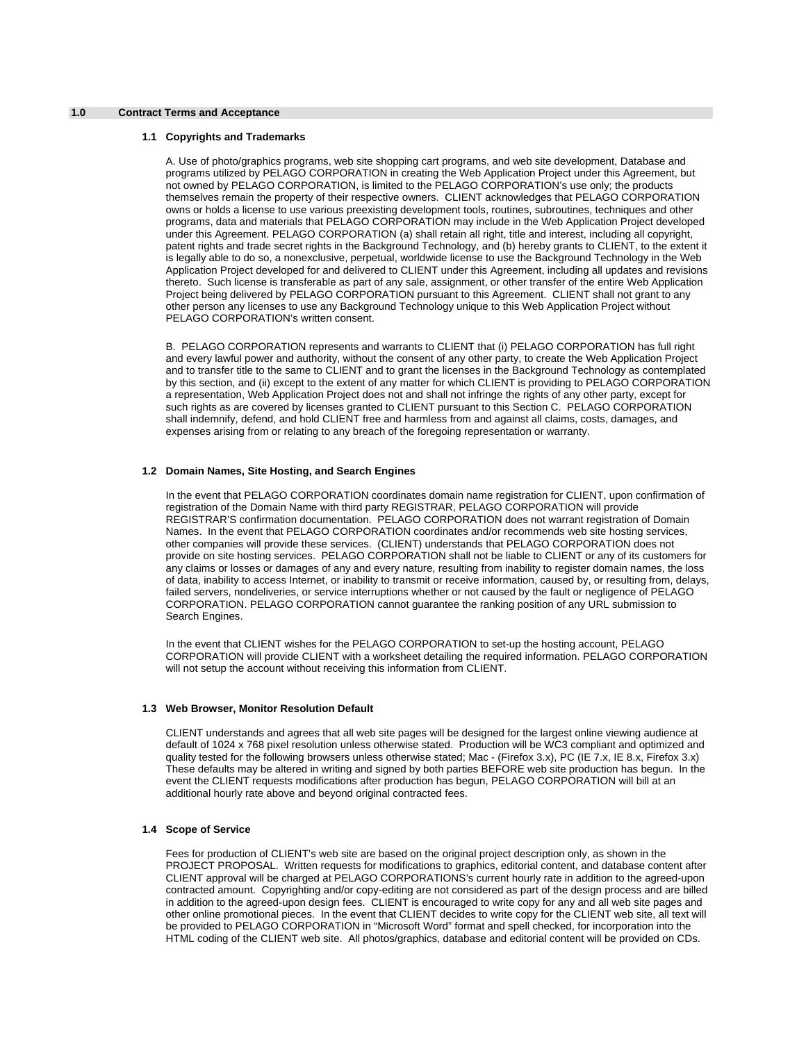### **1.0 Contract Terms and Acceptance**

#### **1.1 Copyrights and Trademarks**

A. Use of photo/graphics programs, web site shopping cart programs, and web site development, Database and programs utilized by PELAGO CORPORATION in creating the Web Application Project under this Agreement, but not owned by PELAGO CORPORATION, is limited to the PELAGO CORPORATION's use only; the products themselves remain the property of their respective owners. CLIENT acknowledges that PELAGO CORPORATION owns or holds a license to use various preexisting development tools, routines, subroutines, techniques and other programs, data and materials that PELAGO CORPORATION may include in the Web Application Project developed under this Agreement. PELAGO CORPORATION (a) shall retain all right, title and interest, including all copyright, patent rights and trade secret rights in the Background Technology, and (b) hereby grants to CLIENT, to the extent it is legally able to do so, a nonexclusive, perpetual, worldwide license to use the Background Technology in the Web Application Project developed for and delivered to CLIENT under this Agreement, including all updates and revisions thereto. Such license is transferable as part of any sale, assignment, or other transfer of the entire Web Application Project being delivered by PELAGO CORPORATION pursuant to this Agreement. CLIENT shall not grant to any other person any licenses to use any Background Technology unique to this Web Application Project without PELAGO CORPORATION's written consent.

B. PELAGO CORPORATION represents and warrants to CLIENT that (i) PELAGO CORPORATION has full right and every lawful power and authority, without the consent of any other party, to create the Web Application Project and to transfer title to the same to CLIENT and to grant the licenses in the Background Technology as contemplated by this section, and (ii) except to the extent of any matter for which CLIENT is providing to PELAGO CORPORATION a representation, Web Application Project does not and shall not infringe the rights of any other party, except for such rights as are covered by licenses granted to CLIENT pursuant to this Section C. PELAGO CORPORATION shall indemnify, defend, and hold CLIENT free and harmless from and against all claims, costs, damages, and expenses arising from or relating to any breach of the foregoing representation or warranty.

### **1.2 Domain Names, Site Hosting, and Search Engines**

In the event that PELAGO CORPORATION coordinates domain name registration for CLIENT, upon confirmation of registration of the Domain Name with third party REGISTRAR, PELAGO CORPORATION will provide REGISTRAR'S confirmation documentation. PELAGO CORPORATION does not warrant registration of Domain Names. In the event that PELAGO CORPORATION coordinates and/or recommends web site hosting services, other companies will provide these services. (CLIENT) understands that PELAGO CORPORATION does not provide on site hosting services. PELAGO CORPORATION shall not be liable to CLIENT or any of its customers for any claims or losses or damages of any and every nature, resulting from inability to register domain names, the loss of data, inability to access Internet, or inability to transmit or receive information, caused by, or resulting from, delays, failed servers, nondeliveries, or service interruptions whether or not caused by the fault or negligence of PELAGO CORPORATION. PELAGO CORPORATION cannot guarantee the ranking position of any URL submission to Search Engines.

In the event that CLIENT wishes for the PELAGO CORPORATION to set-up the hosting account, PELAGO CORPORATION will provide CLIENT with a worksheet detailing the required information. PELAGO CORPORATION will not setup the account without receiving this information from CLIENT.

### **1.3 Web Browser, Monitor Resolution Default**

CLIENT understands and agrees that all web site pages will be designed for the largest online viewing audience at default of 1024 x 768 pixel resolution unless otherwise stated. Production will be WC3 compliant and optimized and quality tested for the following browsers unless otherwise stated; Mac - (Firefox 3.x), PC (IE 7.x, IE 8.x, Firefox 3.x) These defaults may be altered in writing and signed by both parties BEFORE web site production has begun. In the event the CLIENT requests modifications after production has begun, PELAGO CORPORATION will bill at an additional hourly rate above and beyond original contracted fees.

### **1.4 Scope of Service**

Fees for production of CLIENT's web site are based on the original project description only, as shown in the PROJECT PROPOSAL. Written requests for modifications to graphics, editorial content, and database content after CLIENT approval will be charged at PELAGO CORPORATIONS's current hourly rate in addition to the agreed-upon contracted amount. Copyrighting and/or copy-editing are not considered as part of the design process and are billed in addition to the agreed-upon design fees. CLIENT is encouraged to write copy for any and all web site pages and other online promotional pieces. In the event that CLIENT decides to write copy for the CLIENT web site, all text will be provided to PELAGO CORPORATION in "Microsoft Word" format and spell checked, for incorporation into the HTML coding of the CLIENT web site. All photos/graphics, database and editorial content will be provided on CDs.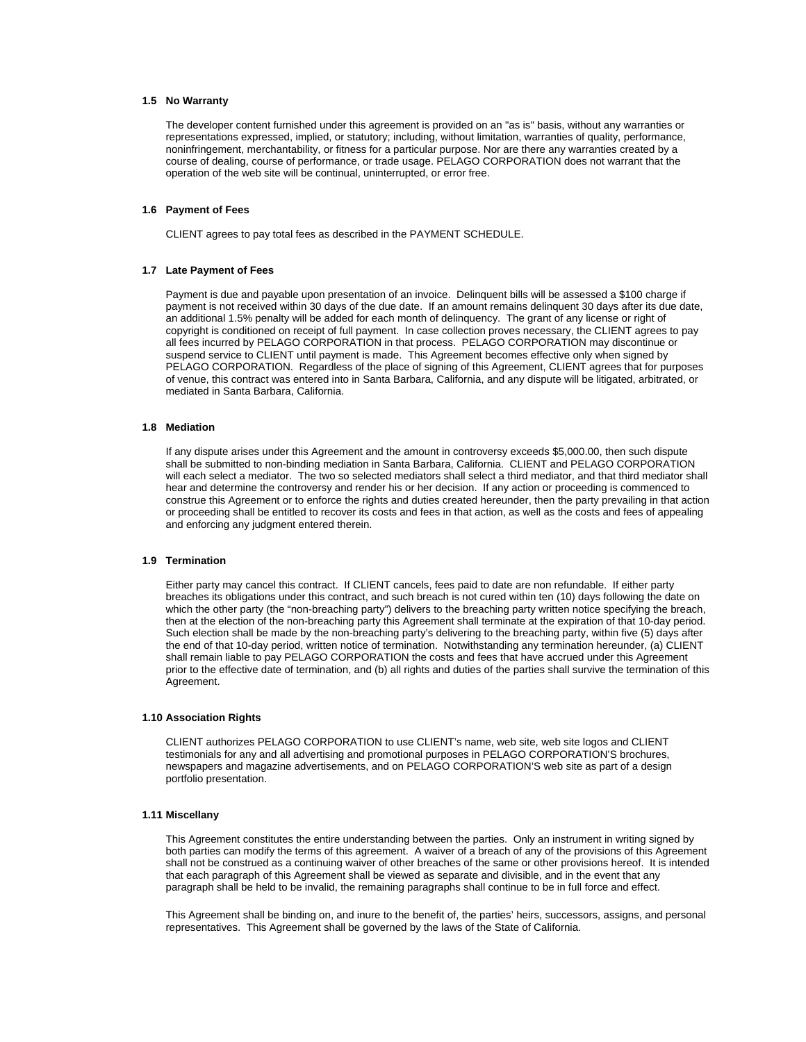### **1.5 No Warranty**

The developer content furnished under this agreement is provided on an "as is" basis, without any warranties or representations expressed, implied, or statutory; including, without limitation, warranties of quality, performance, noninfringement, merchantability, or fitness for a particular purpose. Nor are there any warranties created by a course of dealing, course of performance, or trade usage. PELAGO CORPORATION does not warrant that the operation of the web site will be continual, uninterrupted, or error free.

### **1.6 Payment of Fees**

CLIENT agrees to pay total fees as described in the PAYMENT SCHEDULE.

#### **1.7 Late Payment of Fees**

Payment is due and payable upon presentation of an invoice. Delinquent bills will be assessed a \$100 charge if payment is not received within 30 days of the due date. If an amount remains delinquent 30 days after its due date, an additional 1.5% penalty will be added for each month of delinquency. The grant of any license or right of copyright is conditioned on receipt of full payment. In case collection proves necessary, the CLIENT agrees to pay all fees incurred by PELAGO CORPORATION in that process. PELAGO CORPORATION may discontinue or suspend service to CLIENT until payment is made. This Agreement becomes effective only when signed by PELAGO CORPORATION. Regardless of the place of signing of this Agreement, CLIENT agrees that for purposes of venue, this contract was entered into in Santa Barbara, California, and any dispute will be litigated, arbitrated, or mediated in Santa Barbara, California.

### **1.8 Mediation**

If any dispute arises under this Agreement and the amount in controversy exceeds \$5,000.00, then such dispute shall be submitted to non-binding mediation in Santa Barbara, California. CLIENT and PELAGO CORPORATION will each select a mediator. The two so selected mediators shall select a third mediator, and that third mediator shall hear and determine the controversy and render his or her decision. If any action or proceeding is commenced to construe this Agreement or to enforce the rights and duties created hereunder, then the party prevailing in that action or proceeding shall be entitled to recover its costs and fees in that action, as well as the costs and fees of appealing and enforcing any judgment entered therein.

### **1.9 Termination**

Either party may cancel this contract. If CLIENT cancels, fees paid to date are non refundable. If either party breaches its obligations under this contract, and such breach is not cured within ten (10) days following the date on which the other party (the "non-breaching party") delivers to the breaching party written notice specifying the breach, then at the election of the non-breaching party this Agreement shall terminate at the expiration of that 10-day period. Such election shall be made by the non-breaching party's delivering to the breaching party, within five (5) days after the end of that 10-day period, written notice of termination. Notwithstanding any termination hereunder, (a) CLIENT shall remain liable to pay PELAGO CORPORATION the costs and fees that have accrued under this Agreement prior to the effective date of termination, and (b) all rights and duties of the parties shall survive the termination of this Agreement.

#### **1.10 Association Rights**

CLIENT authorizes PELAGO CORPORATION to use CLIENT's name, web site, web site logos and CLIENT testimonials for any and all advertising and promotional purposes in PELAGO CORPORATION'S brochures, newspapers and magazine advertisements, and on PELAGO CORPORATION'S web site as part of a design portfolio presentation.

#### **1.11 Miscellany**

This Agreement constitutes the entire understanding between the parties. Only an instrument in writing signed by both parties can modify the terms of this agreement. A waiver of a breach of any of the provisions of this Agreement shall not be construed as a continuing waiver of other breaches of the same or other provisions hereof. It is intended that each paragraph of this Agreement shall be viewed as separate and divisible, and in the event that any paragraph shall be held to be invalid, the remaining paragraphs shall continue to be in full force and effect.

This Agreement shall be binding on, and inure to the benefit of, the parties' heirs, successors, assigns, and personal representatives. This Agreement shall be governed by the laws of the State of California.